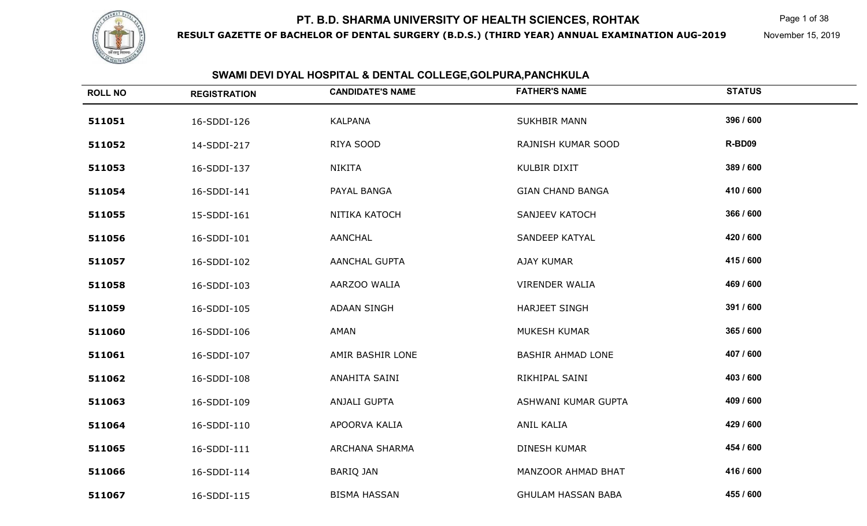

**RESULT GAZETTE OF BACHELOR OF DENTAL SURGERY (B.D.S.) (THIRD YEAR) ANNUAL EXAMINATION AUG-2019**

Page 1 of 38

November 15, 2019

| <b>ROLL NO</b> | <b>REGISTRATION</b> | <b>CANDIDATE'S NAME</b> | <b>FATHER'S NAME</b>      | <b>STATUS</b> |
|----------------|---------------------|-------------------------|---------------------------|---------------|
| 511051         | 16-SDDI-126         | <b>KALPANA</b>          | <b>SUKHBIR MANN</b>       | 396 / 600     |
| 511052         | 14-SDDI-217         | RIYA SOOD               | RAJNISH KUMAR SOOD        | R-BD09        |
| 511053         | 16-SDDI-137         | NIKITA                  | <b>KULBIR DIXIT</b>       | 389 / 600     |
| 511054         | 16-SDDI-141         | PAYAL BANGA             | <b>GIAN CHAND BANGA</b>   | 410 / 600     |
| 511055         | 15-SDDI-161         | NITIKA KATOCH           | SANJEEV KATOCH            | 366 / 600     |
| 511056         | 16-SDDI-101         | <b>AANCHAL</b>          | SANDEEP KATYAL            | 420 / 600     |
| 511057         | 16-SDDI-102         | <b>AANCHAL GUPTA</b>    | AJAY KUMAR                | 415 / 600     |
| 511058         | 16-SDDI-103         | AARZOO WALIA            | <b>VIRENDER WALIA</b>     | 469 / 600     |
| 511059         | 16-SDDI-105         | <b>ADAAN SINGH</b>      | <b>HARJEET SINGH</b>      | 391 / 600     |
| 511060         | 16-SDDI-106         | AMAN                    | MUKESH KUMAR              | 365 / 600     |
| 511061         | 16-SDDI-107         | AMIR BASHIR LONE        | <b>BASHIR AHMAD LONE</b>  | 407 / 600     |
| 511062         | 16-SDDI-108         | ANAHITA SAINI           | RIKHIPAL SAINI            | 403 / 600     |
| 511063         | 16-SDDI-109         | ANJALI GUPTA            | ASHWANI KUMAR GUPTA       | 409 / 600     |
| 511064         | 16-SDDI-110         | APOORVA KALIA           | ANIL KALIA                | 429 / 600     |
| 511065         | 16-SDDI-111         | ARCHANA SHARMA          | DINESH KUMAR              | 454 / 600     |
| 511066         | 16-SDDI-114         | <b>BARIQ JAN</b>        | MANZOOR AHMAD BHAT        | 416 / 600     |
| 511067         | 16-SDDI-115         | <b>BISMA HASSAN</b>     | <b>GHULAM HASSAN BABA</b> | 455 / 600     |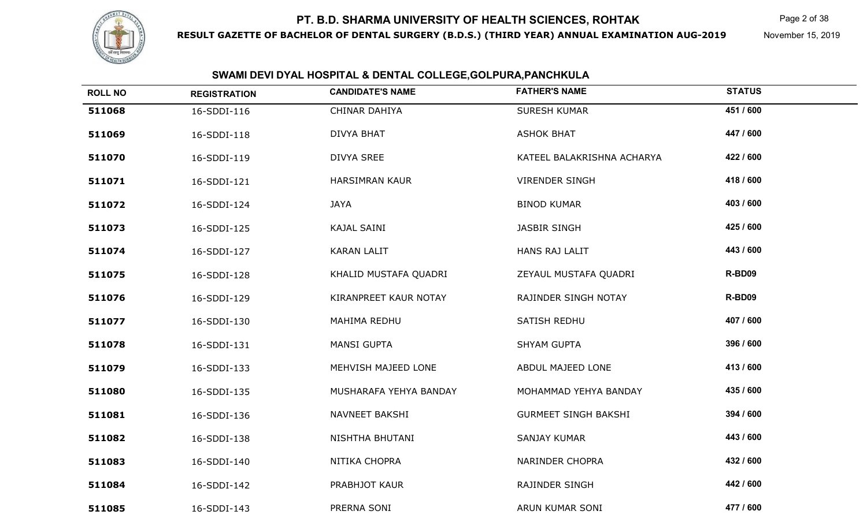

**RESULT GAZETTE OF BACHELOR OF DENTAL SURGERY (B.D.S.) (THIRD YEAR) ANNUAL EXAMINATION AUG-2019**

Page 2 of 38

November 15, 2019

| <b>ROLL NO</b> | <b>REGISTRATION</b> | <b>CANDIDATE'S NAME</b> | <b>FATHER'S NAME</b>        | <b>STATUS</b> |
|----------------|---------------------|-------------------------|-----------------------------|---------------|
| 511068         | 16-SDDI-116         | CHINAR DAHIYA           | <b>SURESH KUMAR</b>         | 451 / 600     |
| 511069         | 16-SDDI-118         | <b>DIVYA BHAT</b>       | <b>ASHOK BHAT</b>           | 447 / 600     |
| 511070         | 16-SDDI-119         | DIVYA SREE              | KATEEL BALAKRISHNA ACHARYA  | 422 / 600     |
| 511071         | 16-SDDI-121         | <b>HARSIMRAN KAUR</b>   | <b>VIRENDER SINGH</b>       | 418 / 600     |
| 511072         | 16-SDDI-124         | <b>JAYA</b>             | <b>BINOD KUMAR</b>          | 403 / 600     |
| 511073         | 16-SDDI-125         | <b>KAJAL SAINI</b>      | JASBIR SINGH                | 425 / 600     |
| 511074         | 16-SDDI-127         | <b>KARAN LALIT</b>      | HANS RAJ LALIT              | 443 / 600     |
| 511075         | 16-SDDI-128         | KHALID MUSTAFA QUADRI   | ZEYAUL MUSTAFA QUADRI       | R-BD09        |
| 511076         | 16-SDDI-129         | KIRANPREET KAUR NOTAY   | RAJINDER SINGH NOTAY        | R-BD09        |
| 511077         | 16-SDDI-130         | MAHIMA REDHU            | SATISH REDHU                | 407 / 600     |
| 511078         | 16-SDDI-131         | <b>MANSI GUPTA</b>      | <b>SHYAM GUPTA</b>          | 396 / 600     |
| 511079         | 16-SDDI-133         | MEHVISH MAJEED LONE     | ABDUL MAJEED LONE           | 413 / 600     |
| 511080         | 16-SDDI-135         | MUSHARAFA YEHYA BANDAY  | MOHAMMAD YEHYA BANDAY       | 435 / 600     |
| 511081         | 16-SDDI-136         | NAVNEET BAKSHI          | <b>GURMEET SINGH BAKSHI</b> | 394 / 600     |
| 511082         | 16-SDDI-138         | NISHTHA BHUTANI         | SANJAY KUMAR                | 443 / 600     |
| 511083         | 16-SDDI-140         | NITIKA CHOPRA           | NARINDER CHOPRA             | 432 / 600     |
| 511084         | 16-SDDI-142         | PRABHJOT KAUR           | RAJINDER SINGH              | 442 / 600     |
| 511085         | 16-SDDI-143         | PRERNA SONI             | ARUN KUMAR SONI             | 477 / 600     |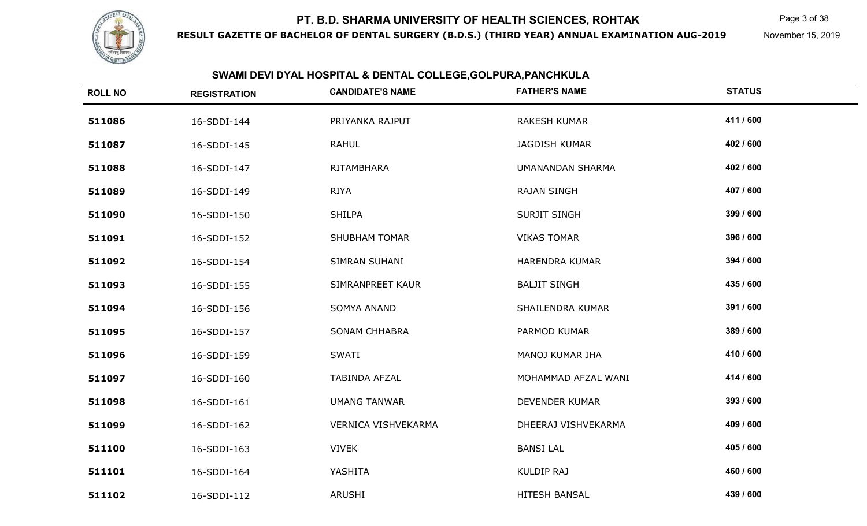

**RESULT GAZETTE OF BACHELOR OF DENTAL SURGERY (B.D.S.) (THIRD YEAR) ANNUAL EXAMINATION AUG-2019**

Page 3 of 38

November 15, 2019

| <b>ROLL NO</b> | <b>REGISTRATION</b> | <b>CANDIDATE'S NAME</b> | <b>FATHER'S NAME</b>  | <b>STATUS</b> |
|----------------|---------------------|-------------------------|-----------------------|---------------|
| 511086         | 16-SDDI-144         | PRIYANKA RAJPUT         | <b>RAKESH KUMAR</b>   | 411 / 600     |
| 511087         | 16-SDDI-145         | <b>RAHUL</b>            | <b>JAGDISH KUMAR</b>  | 402 / 600     |
| 511088         | 16-SDDI-147         | RITAMBHARA              | UMANANDAN SHARMA      | 402 / 600     |
| 511089         | 16-SDDI-149         | <b>RIYA</b>             | <b>RAJAN SINGH</b>    | 407 / 600     |
| 511090         | 16-SDDI-150         | <b>SHILPA</b>           | <b>SURJIT SINGH</b>   | 399 / 600     |
| 511091         | 16-SDDI-152         | <b>SHUBHAM TOMAR</b>    | <b>VIKAS TOMAR</b>    | 396 / 600     |
| 511092         | 16-SDDI-154         | SIMRAN SUHANI           | HARENDRA KUMAR        | 394 / 600     |
| 511093         | 16-SDDI-155         | SIMRANPREET KAUR        | <b>BALJIT SINGH</b>   | 435 / 600     |
| 511094         | 16-SDDI-156         | SOMYA ANAND             | SHAILENDRA KUMAR      | 391 / 600     |
| 511095         | 16-SDDI-157         | <b>SONAM CHHABRA</b>    | PARMOD KUMAR          | 389 / 600     |
| 511096         | 16-SDDI-159         | <b>SWATI</b>            | MANOJ KUMAR JHA       | 410 / 600     |
| 511097         | 16-SDDI-160         | TABINDA AFZAL           | MOHAMMAD AFZAL WANI   | 414 / 600     |
| 511098         | 16-SDDI-161         | <b>UMANG TANWAR</b>     | <b>DEVENDER KUMAR</b> | 393 / 600     |
| 511099         | 16-SDDI-162         | VERNICA VISHVEKARMA     | DHEERAJ VISHVEKARMA   | 409 / 600     |
| 511100         | 16-SDDI-163         | <b>VIVEK</b>            | <b>BANSI LAL</b>      | 405 / 600     |
| 511101         | 16-SDDI-164         | YASHITA                 | <b>KULDIP RAJ</b>     | 460 / 600     |
| 511102         | 16-SDDI-112         | ARUSHI                  | HITESH BANSAL         | 439 / 600     |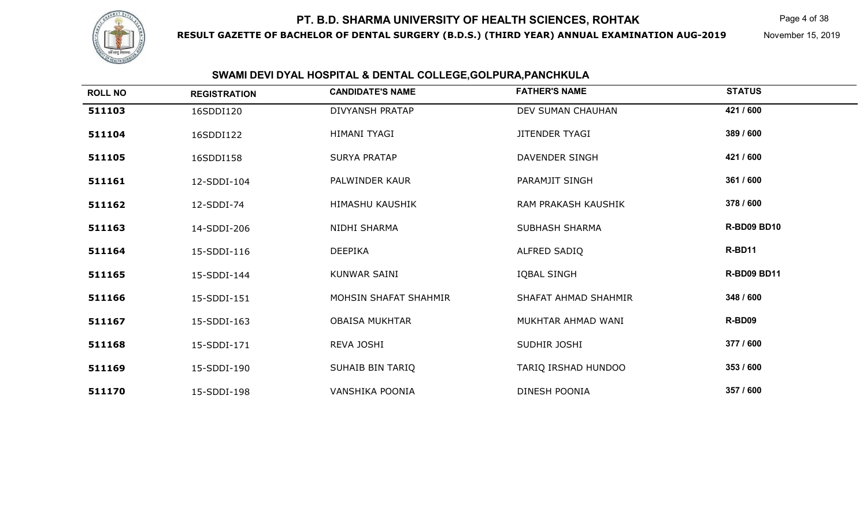

**RESULT GAZETTE OF BACHELOR OF DENTAL SURGERY (B.D.S.) (THIRD YEAR) ANNUAL EXAMINATION AUG-2019**

Page 4 of 38

November 15, 2019

| <b>ROLL NO</b> | <b>REGISTRATION</b> | <b>CANDIDATE'S NAME</b> | <b>FATHER'S NAME</b>  | <b>STATUS</b>      |
|----------------|---------------------|-------------------------|-----------------------|--------------------|
| 511103         | 16SDDI120           | <b>DIVYANSH PRATAP</b>  | DEV SUMAN CHAUHAN     | 421 / 600          |
| 511104         | 16SDDI122           | HIMANI TYAGI            | <b>JITENDER TYAGI</b> | 389 / 600          |
| 511105         | 16SDDI158           | <b>SURYA PRATAP</b>     | DAVENDER SINGH        | 421 / 600          |
| 511161         | 12-SDDI-104         | PALWINDER KAUR          | PARAMJIT SINGH        | 361 / 600          |
| 511162         | 12-SDDI-74          | <b>HIMASHU KAUSHIK</b>  | RAM PRAKASH KAUSHIK   | 378 / 600          |
| 511163         | 14-SDDI-206         | NIDHI SHARMA            | <b>SUBHASH SHARMA</b> | <b>R-BD09 BD10</b> |
| 511164         | 15-SDDI-116         | <b>DEEPIKA</b>          | ALFRED SADIQ          | R-BD11             |
| 511165         | 15-SDDI-144         | KUNWAR SAINI            | IQBAL SINGH           | <b>R-BD09 BD11</b> |
| 511166         | 15-SDDI-151         | MOHSIN SHAFAT SHAHMIR   | SHAFAT AHMAD SHAHMIR  | 348 / 600          |
| 511167         | 15-SDDI-163         | <b>OBAISA MUKHTAR</b>   | MUKHTAR AHMAD WANI    | R-BD09             |
| 511168         | 15-SDDI-171         | REVA JOSHI              | SUDHIR JOSHI          | 377 / 600          |
| 511169         | 15-SDDI-190         | SUHAIB BIN TARIQ        | TARIQ IRSHAD HUNDOO   | 353 / 600          |
| 511170         | 15-SDDI-198         | VANSHIKA POONIA         | DINESH POONIA         | 357 / 600          |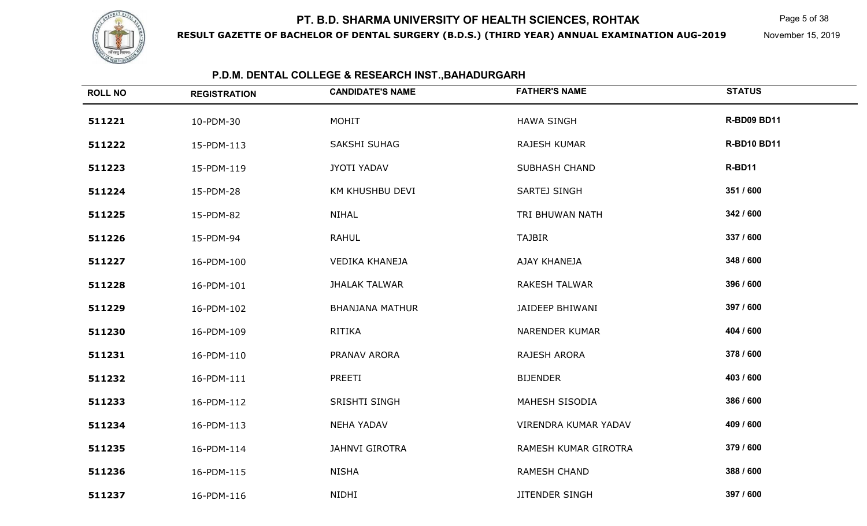

**RESULT GAZETTE OF BACHELOR OF DENTAL SURGERY (B.D.S.) (THIRD YEAR) ANNUAL EXAMINATION AUG-2019**

Page 5 of 38

November 15, 2019

| <b>ROLL NO</b> | <b>REGISTRATION</b> | <b>CANDIDATE'S NAME</b> | <b>FATHER'S NAME</b>  | <b>STATUS</b>      |
|----------------|---------------------|-------------------------|-----------------------|--------------------|
| 511221         | 10-PDM-30           | <b>MOHIT</b>            | <b>HAWA SINGH</b>     | <b>R-BD09 BD11</b> |
| 511222         | 15-PDM-113          | <b>SAKSHI SUHAG</b>     | <b>RAJESH KUMAR</b>   | <b>R-BD10 BD11</b> |
| 511223         | 15-PDM-119          | JYOTI YADAV             | <b>SUBHASH CHAND</b>  | R-BD11             |
| 511224         | 15-PDM-28           | KM KHUSHBU DEVI         | SARTEJ SINGH          | 351 / 600          |
| 511225         | 15-PDM-82           | NIHAL                   | TRI BHUWAN NATH       | 342 / 600          |
| 511226         | 15-PDM-94           | <b>RAHUL</b>            | <b>TAJBIR</b>         | 337 / 600          |
| 511227         | 16-PDM-100          | <b>VEDIKA KHANEJA</b>   | AJAY KHANEJA          | 348 / 600          |
| 511228         | 16-PDM-101          | <b>JHALAK TALWAR</b>    | <b>RAKESH TALWAR</b>  | 396 / 600          |
| 511229         | 16-PDM-102          | <b>BHANJANA MATHUR</b>  | JAIDEEP BHIWANI       | 397 / 600          |
| 511230         | 16-PDM-109          | <b>RITIKA</b>           | <b>NARENDER KUMAR</b> | 404 / 600          |
| 511231         | 16-PDM-110          | PRANAV ARORA            | RAJESH ARORA          | 378 / 600          |
| 511232         | 16-PDM-111          | PREETI                  | <b>BIJENDER</b>       | 403 / 600          |
| 511233         | 16-PDM-112          | <b>SRISHTI SINGH</b>    | MAHESH SISODIA        | 386 / 600          |
| 511234         | 16-PDM-113          | <b>NEHA YADAV</b>       | VIRENDRA KUMAR YADAV  | 409 / 600          |
| 511235         | 16-PDM-114          | <b>JAHNVI GIROTRA</b>   | RAMESH KUMAR GIROTRA  | 379 / 600          |
| 511236         | 16-PDM-115          | <b>NISHA</b>            | <b>RAMESH CHAND</b>   | 388 / 600          |
| 511237         | 16-PDM-116          | NIDHI                   | <b>JITENDER SINGH</b> | 397 / 600          |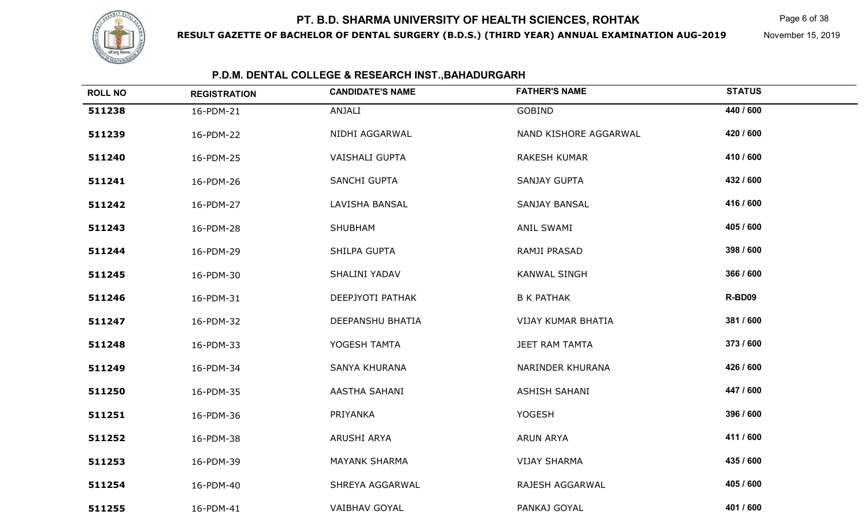

**RESULT GAZETTE OF BACHELOR OF DENTAL SURGERY (B.D.S.) (THIRD YEAR) ANNUAL EXAMINATION AUG-2019**

Page 6 of 38

November 15, 2019

| <b>ROLL NO</b> | <b>REGISTRATION</b> | <b>CANDIDATE'S NAME</b> | <b>FATHER'S NAME</b>  | <b>STATUS</b> |
|----------------|---------------------|-------------------------|-----------------------|---------------|
| 511238         | 16-PDM-21           | ANJALI                  | <b>GOBIND</b>         | 440 / 600     |
| 511239         | 16-PDM-22           | NIDHI AGGARWAL          | NAND KISHORE AGGARWAL | 420 / 600     |
| 511240         | 16-PDM-25           | <b>VAISHALI GUPTA</b>   | <b>RAKESH KUMAR</b>   | 410 / 600     |
| 511241         | 16-PDM-26           | SANCHI GUPTA            | <b>SANJAY GUPTA</b>   | 432 / 600     |
| 511242         | 16-PDM-27           | LAVISHA BANSAL          | SANJAY BANSAL         | 416 / 600     |
| 511243         | 16-PDM-28           | SHUBHAM                 | ANIL SWAMI            | 405 / 600     |
| 511244         | 16-PDM-29           | SHILPA GUPTA            | RAMJI PRASAD          | 398 / 600     |
| 511245         | 16-PDM-30           | SHALINI YADAV           | <b>KANWAL SINGH</b>   | 366 / 600     |
| 511246         | 16-PDM-31           | DEEPJYOTI PATHAK        | <b>B K PATHAK</b>     | R-BD09        |
| 511247         | 16-PDM-32           | DEEPANSHU BHATIA        | VIJAY KUMAR BHATIA    | 381 / 600     |
| 511248         | 16-PDM-33           | YOGESH TAMTA            | JEET RAM TAMTA        | 373 / 600     |
| 511249         | 16-PDM-34           | SANYA KHURANA           | NARINDER KHURANA      | 426 / 600     |
| 511250         | 16-PDM-35           | AASTHA SAHANI           | <b>ASHISH SAHANI</b>  | 447 / 600     |
| 511251         | 16-PDM-36           | PRIYANKA                | <b>YOGESH</b>         | 396 / 600     |
| 511252         | 16-PDM-38           | ARUSHI ARYA             | <b>ARUN ARYA</b>      | 411 / 600     |
| 511253         | 16-PDM-39           | <b>MAYANK SHARMA</b>    | <b>VIJAY SHARMA</b>   | 435 / 600     |
| 511254         | 16-PDM-40           | SHREYA AGGARWAL         | RAJESH AGGARWAL       | 405 / 600     |
| 511255         | 16-PDM-41           | VAIBHAV GOYAL           | PANKAJ GOYAL          | 401 / 600     |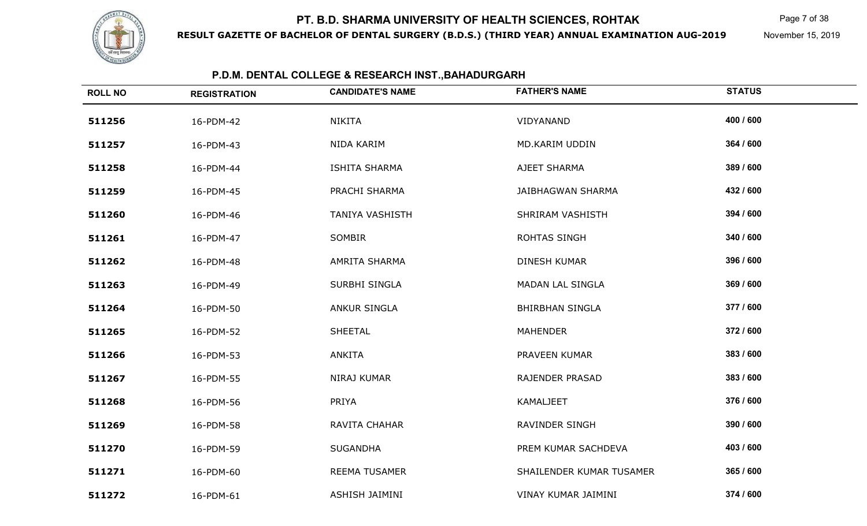

**RESULT GAZETTE OF BACHELOR OF DENTAL SURGERY (B.D.S.) (THIRD YEAR) ANNUAL EXAMINATION AUG-2019**

Page 7 of 38

November 15, 2019

| <b>ROLL NO</b> | <b>REGISTRATION</b> | <b>CANDIDATE'S NAME</b> | <b>FATHER'S NAME</b>     | <b>STATUS</b> |
|----------------|---------------------|-------------------------|--------------------------|---------------|
| 511256         | 16-PDM-42           | <b>NIKITA</b>           | VIDYANAND                | 400 / 600     |
| 511257         | 16-PDM-43           | NIDA KARIM              | MD.KARIM UDDIN           | 364 / 600     |
| 511258         | 16-PDM-44           | <b>ISHITA SHARMA</b>    | AJEET SHARMA             | 389 / 600     |
| 511259         | 16-PDM-45           | PRACHI SHARMA           | <b>JAIBHAGWAN SHARMA</b> | 432 / 600     |
| 511260         | 16-PDM-46           | <b>TANIYA VASHISTH</b>  | SHRIRAM VASHISTH         | 394 / 600     |
| 511261         | 16-PDM-47           | SOMBIR                  | ROHTAS SINGH             | 340 / 600     |
| 511262         | 16-PDM-48           | AMRITA SHARMA           | DINESH KUMAR             | 396 / 600     |
| 511263         | 16-PDM-49           | SURBHI SINGLA           | <b>MADAN LAL SINGLA</b>  | 369 / 600     |
| 511264         | 16-PDM-50           | <b>ANKUR SINGLA</b>     | <b>BHIRBHAN SINGLA</b>   | 377 / 600     |
| 511265         | 16-PDM-52           | <b>SHEETAL</b>          | <b>MAHENDER</b>          | 372 / 600     |
| 511266         | 16-PDM-53           | <b>ANKITA</b>           | PRAVEEN KUMAR            | 383 / 600     |
| 511267         | 16-PDM-55           | NIRAJ KUMAR             | <b>RAJENDER PRASAD</b>   | 383 / 600     |
| 511268         | 16-PDM-56           | PRIYA                   | KAMALJEET                | 376 / 600     |
| 511269         | 16-PDM-58           | RAVITA CHAHAR           | RAVINDER SINGH           | 390 / 600     |
| 511270         | 16-PDM-59           | <b>SUGANDHA</b>         | PREM KUMAR SACHDEVA      | 403 / 600     |
| 511271         | 16-PDM-60           | <b>REEMA TUSAMER</b>    | SHAILENDER KUMAR TUSAMER | 365 / 600     |
| 511272         | 16-PDM-61           | ASHISH JAIMINI          | VINAY KUMAR JAIMINI      | 374 / 600     |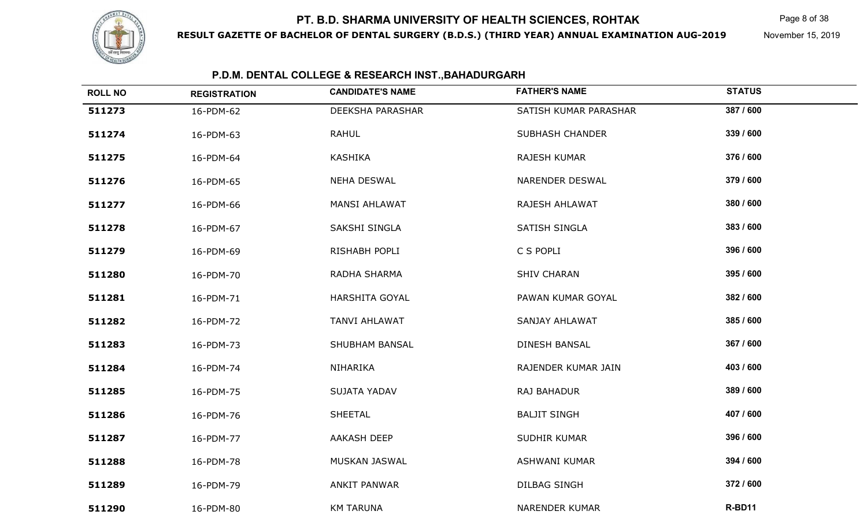

**RESULT GAZETTE OF BACHELOR OF DENTAL SURGERY (B.D.S.) (THIRD YEAR) ANNUAL EXAMINATION AUG-2019**

Page 8 of 38

November 15, 2019

| <b>ROLL NO</b> | <b>REGISTRATION</b> | <b>CANDIDATE'S NAME</b> | <b>FATHER'S NAME</b>   | <b>STATUS</b> |
|----------------|---------------------|-------------------------|------------------------|---------------|
| 511273         | 16-PDM-62           | <b>DEEKSHA PARASHAR</b> | SATISH KUMAR PARASHAR  | 387 / 600     |
| 511274         | 16-PDM-63           | <b>RAHUL</b>            | <b>SUBHASH CHANDER</b> | 339 / 600     |
| 511275         | 16-PDM-64           | <b>KASHIKA</b>          | RAJESH KUMAR           | 376 / 600     |
| 511276         | 16-PDM-65           | <b>NEHA DESWAL</b>      | NARENDER DESWAL        | 379 / 600     |
| 511277         | 16-PDM-66           | <b>MANSI AHLAWAT</b>    | RAJESH AHLAWAT         | 380 / 600     |
| 511278         | 16-PDM-67           | SAKSHI SINGLA           | SATISH SINGLA          | 383 / 600     |
| 511279         | 16-PDM-69           | RISHABH POPLI           | C S POPLI              | 396 / 600     |
| 511280         | 16-PDM-70           | RADHA SHARMA            | <b>SHIV CHARAN</b>     | 395 / 600     |
| 511281         | 16-PDM-71           | HARSHITA GOYAL          | PAWAN KUMAR GOYAL      | 382 / 600     |
| 511282         | 16-PDM-72           | <b>TANVI AHLAWAT</b>    | <b>SANJAY AHLAWAT</b>  | 385 / 600     |
| 511283         | 16-PDM-73           | <b>SHUBHAM BANSAL</b>   | <b>DINESH BANSAL</b>   | 367 / 600     |
| 511284         | 16-PDM-74           | NIHARIKA                | RAJENDER KUMAR JAIN    | 403 / 600     |
| 511285         | 16-PDM-75           | <b>SUJATA YADAV</b>     | RAJ BAHADUR            | 389 / 600     |
| 511286         | 16-PDM-76           | <b>SHEETAL</b>          | <b>BALJIT SINGH</b>    | 407 / 600     |
| 511287         | 16-PDM-77           | AAKASH DEEP             | SUDHIR KUMAR           | 396 / 600     |
| 511288         | 16-PDM-78           | MUSKAN JASWAL           | <b>ASHWANI KUMAR</b>   | 394 / 600     |
| 511289         | 16-PDM-79           | ANKIT PANWAR            | <b>DILBAG SINGH</b>    | 372 / 600     |
| 511290         | 16-PDM-80           | <b>KM TARUNA</b>        | <b>NARENDER KUMAR</b>  | R-BD11        |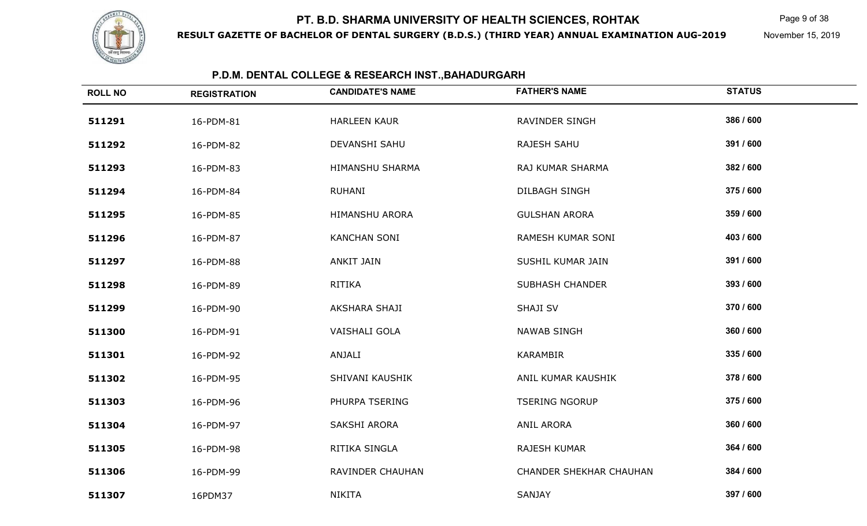

**RESULT GAZETTE OF BACHELOR OF DENTAL SURGERY (B.D.S.) (THIRD YEAR) ANNUAL EXAMINATION AUG-2019**

Page 9 of 38

November 15, 2019

| <b>ROLL NO</b> | <b>REGISTRATION</b> | <b>CANDIDATE'S NAME</b> | <b>FATHER'S NAME</b>           | <b>STATUS</b> |
|----------------|---------------------|-------------------------|--------------------------------|---------------|
| 511291         | 16-PDM-81           | <b>HARLEEN KAUR</b>     | <b>RAVINDER SINGH</b>          | 386 / 600     |
| 511292         | 16-PDM-82           | DEVANSHI SAHU           | RAJESH SAHU                    | 391 / 600     |
| 511293         | 16-PDM-83           | HIMANSHU SHARMA         | RAJ KUMAR SHARMA               | 382 / 600     |
| 511294         | 16-PDM-84           | RUHANI                  | DILBAGH SINGH                  | 375 / 600     |
| 511295         | 16-PDM-85           | HIMANSHU ARORA          | <b>GULSHAN ARORA</b>           | 359 / 600     |
| 511296         | 16-PDM-87           | <b>KANCHAN SONI</b>     | RAMESH KUMAR SONI              | 403 / 600     |
| 511297         | 16-PDM-88           | <b>ANKIT JAIN</b>       | SUSHIL KUMAR JAIN              | 391 / 600     |
| 511298         | 16-PDM-89           | RITIKA                  | <b>SUBHASH CHANDER</b>         | 393 / 600     |
| 511299         | 16-PDM-90           | AKSHARA SHAJI           | <b>SHAJI SV</b>                | 370 / 600     |
| 511300         | 16-PDM-91           | VAISHALI GOLA           | <b>NAWAB SINGH</b>             | 360 / 600     |
| 511301         | 16-PDM-92           | ANJALI                  | <b>KARAMBIR</b>                | 335 / 600     |
| 511302         | 16-PDM-95           | SHIVANI KAUSHIK         | ANIL KUMAR KAUSHIK             | 378 / 600     |
| 511303         | 16-PDM-96           | PHURPA TSERING          | <b>TSERING NGORUP</b>          | 375 / 600     |
| 511304         | 16-PDM-97           | SAKSHI ARORA            | <b>ANIL ARORA</b>              | 360 / 600     |
| 511305         | 16-PDM-98           | RITIKA SINGLA           | RAJESH KUMAR                   | 364 / 600     |
| 511306         | 16-PDM-99           | RAVINDER CHAUHAN        | <b>CHANDER SHEKHAR CHAUHAN</b> | 384 / 600     |
| 511307         | 16PDM37             | <b>NIKITA</b>           | SANJAY                         | 397 / 600     |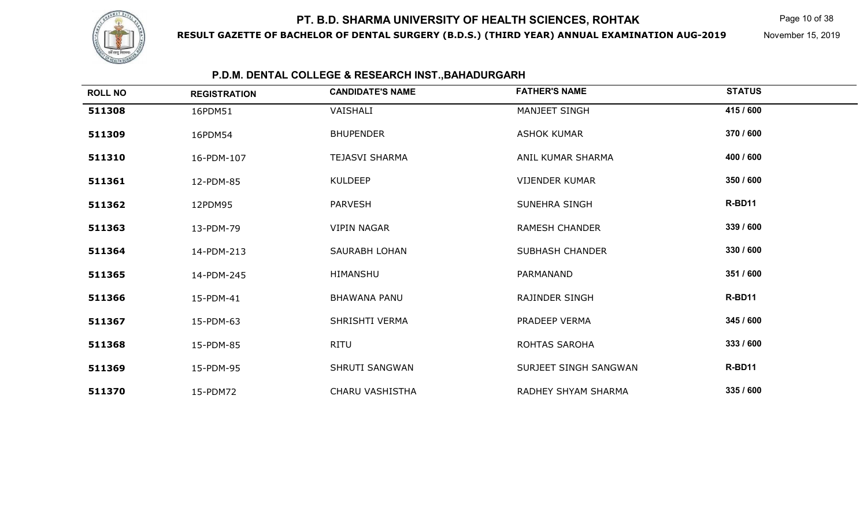

**RESULT GAZETTE OF BACHELOR OF DENTAL SURGERY (B.D.S.) (THIRD YEAR) ANNUAL EXAMINATION AUG-2019**

Page 10 of 38

November 15, 2019

| <b>ROLL NO</b> | <b>REGISTRATION</b> | <b>CANDIDATE'S NAME</b> | <b>FATHER'S NAME</b>   | <b>STATUS</b> |  |
|----------------|---------------------|-------------------------|------------------------|---------------|--|
| 511308         | 16PDM51             | VAISHALI                | MANJEET SINGH          | 415 / 600     |  |
| 511309         | 16PDM54             | <b>BHUPENDER</b>        | <b>ASHOK KUMAR</b>     | 370 / 600     |  |
| 511310         | 16-PDM-107          | <b>TEJASVI SHARMA</b>   | ANIL KUMAR SHARMA      | 400 / 600     |  |
| 511361         | 12-PDM-85           | <b>KULDEEP</b>          | <b>VIJENDER KUMAR</b>  | 350 / 600     |  |
| 511362         | 12PDM95             | <b>PARVESH</b>          | <b>SUNEHRA SINGH</b>   | R-BD11        |  |
| 511363         | 13-PDM-79           | <b>VIPIN NAGAR</b>      | <b>RAMESH CHANDER</b>  | 339 / 600     |  |
| 511364         | 14-PDM-213          | SAURABH LOHAN           | <b>SUBHASH CHANDER</b> | 330 / 600     |  |
| 511365         | 14-PDM-245          | <b>HIMANSHU</b>         | PARMANAND              | 351 / 600     |  |
| 511366         | 15-PDM-41           | <b>BHAWANA PANU</b>     | RAJINDER SINGH         | R-BD11        |  |
| 511367         | 15-PDM-63           | SHRISHTI VERMA          | PRADEEP VERMA          | 345 / 600     |  |
| 511368         | 15-PDM-85           | RITU                    | ROHTAS SAROHA          | 333 / 600     |  |
| 511369         | 15-PDM-95           | <b>SHRUTI SANGWAN</b>   | SURJEET SINGH SANGWAN  | R-BD11        |  |
| 511370         | 15-PDM72            | <b>CHARU VASHISTHA</b>  | RADHEY SHYAM SHARMA    | 335 / 600     |  |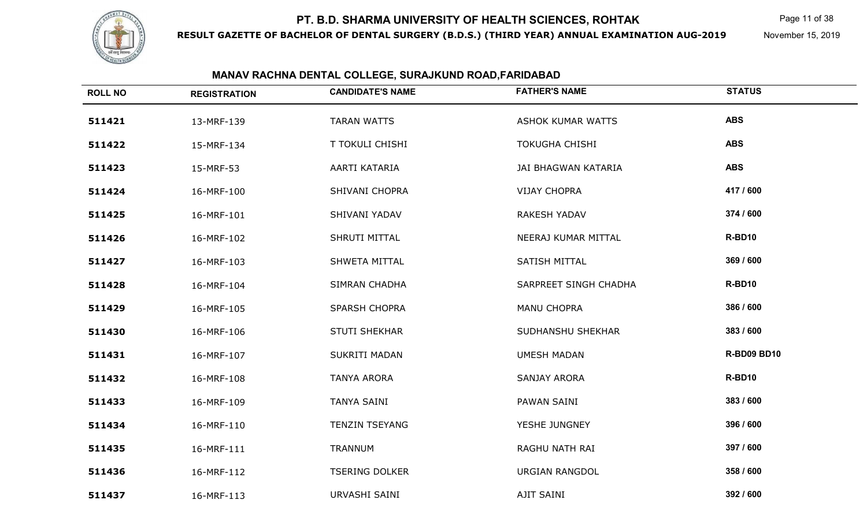

**RESULT GAZETTE OF BACHELOR OF DENTAL SURGERY (B.D.S.) (THIRD YEAR) ANNUAL EXAMINATION AUG-2019**

Page 11 of 38

November 15, 2019

| <b>ROLL NO</b> | <b>REGISTRATION</b> | <b>CANDIDATE'S NAME</b> | <b>FATHER'S NAME</b>  | <b>STATUS</b>      |
|----------------|---------------------|-------------------------|-----------------------|--------------------|
| 511421         | 13-MRF-139          | <b>TARAN WATTS</b>      | ASHOK KUMAR WATTS     | <b>ABS</b>         |
| 511422         | 15-MRF-134          | <b>T TOKULI CHISHI</b>  | <b>TOKUGHA CHISHI</b> | <b>ABS</b>         |
| 511423         | 15-MRF-53           | AARTI KATARIA           | JAI BHAGWAN KATARIA   | <b>ABS</b>         |
| 511424         | 16-MRF-100          | SHIVANI CHOPRA          | <b>VIJAY CHOPRA</b>   | 417 / 600          |
| 511425         | 16-MRF-101          | SHIVANI YADAV           | RAKESH YADAV          | 374 / 600          |
| 511426         | 16-MRF-102          | SHRUTI MITTAL           | NEERAJ KUMAR MITTAL   | R-BD10             |
| 511427         | 16-MRF-103          | SHWETA MITTAL           | SATISH MITTAL         | 369 / 600          |
| 511428         | 16-MRF-104          | SIMRAN CHADHA           | SARPREET SINGH CHADHA | R-BD10             |
| 511429         | 16-MRF-105          | <b>SPARSH CHOPRA</b>    | <b>MANU CHOPRA</b>    | 386 / 600          |
| 511430         | 16-MRF-106          | <b>STUTI SHEKHAR</b>    | SUDHANSHU SHEKHAR     | 383 / 600          |
| 511431         | 16-MRF-107          | SUKRITI MADAN           | <b>UMESH MADAN</b>    | <b>R-BD09 BD10</b> |
| 511432         | 16-MRF-108          | <b>TANYA ARORA</b>      | SANJAY ARORA          | R-BD10             |
| 511433         | 16-MRF-109          | <b>TANYA SAINI</b>      | PAWAN SAINI           | 383 / 600          |
| 511434         | 16-MRF-110          | <b>TENZIN TSEYANG</b>   | YESHE JUNGNEY         | 396 / 600          |
| 511435         | 16-MRF-111          | <b>TRANNUM</b>          | RAGHU NATH RAI        | 397 / 600          |
| 511436         | 16-MRF-112          | <b>TSERING DOLKER</b>   | <b>URGIAN RANGDOL</b> | 358 / 600          |
| 511437         | 16-MRF-113          | URVASHI SAINI           | AJIT SAINI            | 392 / 600          |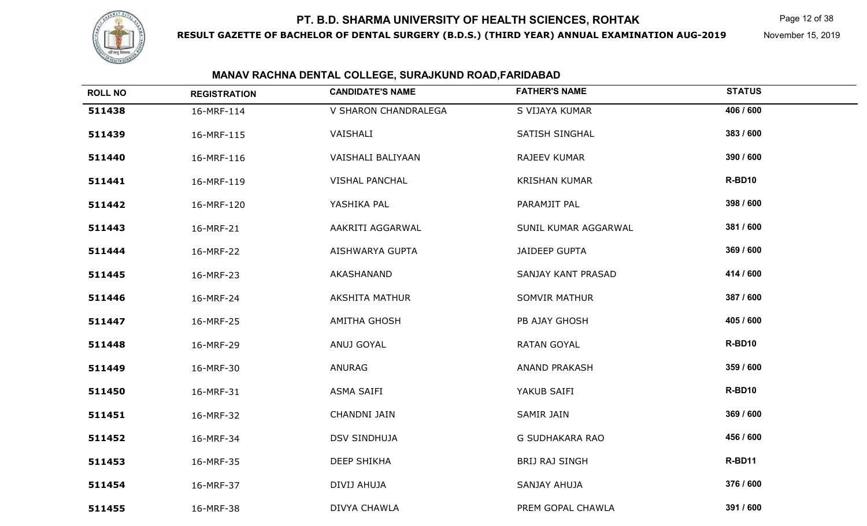

**RESULT GAZETTE OF BACHELOR OF DENTAL SURGERY (B.D.S.) (THIRD YEAR) ANNUAL EXAMINATION AUG-2019**

Page 12 of 38

November 15, 2019

| <b>ROLL NO</b> | <b>REGISTRATION</b> | <b>CANDIDATE'S NAME</b> | <b>FATHER'S NAME</b>  | <b>STATUS</b> |
|----------------|---------------------|-------------------------|-----------------------|---------------|
| 511438         | 16-MRF-114          | V SHARON CHANDRALEGA    | S VIJAYA KUMAR        | 406 / 600     |
| 511439         | 16-MRF-115          | VAISHALI                | <b>SATISH SINGHAL</b> | 383 / 600     |
| 511440         | 16-MRF-116          | VAISHALI BALIYAAN       | RAJEEV KUMAR          | 390 / 600     |
| 511441         | 16-MRF-119          | <b>VISHAL PANCHAL</b>   | <b>KRISHAN KUMAR</b>  | R-BD10        |
| 511442         | 16-MRF-120          | YASHIKA PAL             | PARAMJIT PAL          | 398 / 600     |
| 511443         | 16-MRF-21           | AAKRITI AGGARWAL        | SUNIL KUMAR AGGARWAL  | 381 / 600     |
| 511444         | 16-MRF-22           | AISHWARYA GUPTA         | <b>JAIDEEP GUPTA</b>  | 369 / 600     |
| 511445         | 16-MRF-23           | AKASHANAND              | SANJAY KANT PRASAD    | 414 / 600     |
| 511446         | 16-MRF-24           | <b>AKSHITA MATHUR</b>   | <b>SOMVIR MATHUR</b>  | 387 / 600     |
| 511447         | 16-MRF-25           | <b>AMITHA GHOSH</b>     | PB AJAY GHOSH         | 405 / 600     |
| 511448         | 16-MRF-29           | ANUJ GOYAL              | <b>RATAN GOYAL</b>    | R-BD10        |
| 511449         | 16-MRF-30           | ANURAG                  | ANAND PRAKASH         | 359 / 600     |
| 511450         | 16-MRF-31           | ASMA SAIFI              | YAKUB SAIFI           | R-BD10        |
| 511451         | 16-MRF-32           | CHANDNI JAIN            | SAMIR JAIN            | 369 / 600     |
| 511452         | 16-MRF-34           | <b>DSV SINDHUJA</b>     | G SUDHAKARA RAO       | 456 / 600     |
| 511453         | 16-MRF-35           | <b>DEEP SHIKHA</b>      | BRIJ RAJ SINGH        | R-BD11        |
| 511454         | 16-MRF-37           | DIVIJ AHUJA             | SANJAY AHUJA          | 376 / 600     |
| 511455         | 16-MRF-38           | DIVYA CHAWLA            | PREM GOPAL CHAWLA     | 391 / 600     |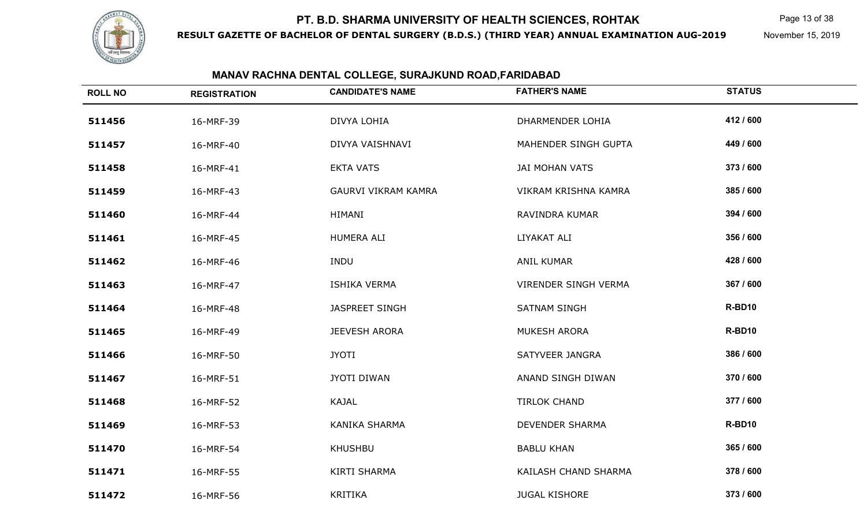

**RESULT GAZETTE OF BACHELOR OF DENTAL SURGERY (B.D.S.) (THIRD YEAR) ANNUAL EXAMINATION AUG-2019**

Page 13 of 38

November 15, 2019

| <b>ROLL NO</b> | <b>REGISTRATION</b> | <b>CANDIDATE'S NAME</b>    | <b>FATHER'S NAME</b>        | <b>STATUS</b> |
|----------------|---------------------|----------------------------|-----------------------------|---------------|
| 511456         | 16-MRF-39           | DIVYA LOHIA                | DHARMENDER LOHIA            | 412 / 600     |
| 511457         | 16-MRF-40           | DIVYA VAISHNAVI            | MAHENDER SINGH GUPTA        | 449 / 600     |
| 511458         | 16-MRF-41           | <b>EKTA VATS</b>           | JAI MOHAN VATS              | 373 / 600     |
| 511459         | 16-MRF-43           | <b>GAURVI VIKRAM KAMRA</b> | VIKRAM KRISHNA KAMRA        | 385 / 600     |
| 511460         | 16-MRF-44           | <b>HIMANI</b>              | RAVINDRA KUMAR              | 394 / 600     |
| 511461         | 16-MRF-45           | HUMERA ALI                 | LIYAKAT ALI                 | 356 / 600     |
| 511462         | 16-MRF-46           | <b>INDU</b>                | <b>ANIL KUMAR</b>           | 428 / 600     |
| 511463         | 16-MRF-47           | ISHIKA VERMA               | <b>VIRENDER SINGH VERMA</b> | 367 / 600     |
| 511464         | 16-MRF-48           | JASPREET SINGH             | <b>SATNAM SINGH</b>         | R-BD10        |
| 511465         | 16-MRF-49           | <b>JEEVESH ARORA</b>       | MUKESH ARORA                | R-BD10        |
| 511466         | 16-MRF-50           | <b>JYOTI</b>               | SATYVEER JANGRA             | 386 / 600     |
| 511467         | 16-MRF-51           | <b>JYOTI DIWAN</b>         | ANAND SINGH DIWAN           | 370 / 600     |
| 511468         | 16-MRF-52           | KAJAL                      | <b>TIRLOK CHAND</b>         | 377 / 600     |
| 511469         | 16-MRF-53           | <b>KANIKA SHARMA</b>       | DEVENDER SHARMA             | R-BD10        |
| 511470         | 16-MRF-54           | <b>KHUSHBU</b>             | <b>BABLU KHAN</b>           | 365 / 600     |
| 511471         | 16-MRF-55           | <b>KIRTI SHARMA</b>        | KAILASH CHAND SHARMA        | 378 / 600     |
| 511472         | 16-MRF-56           | <b>KRITIKA</b>             | <b>JUGAL KISHORE</b>        | 373 / 600     |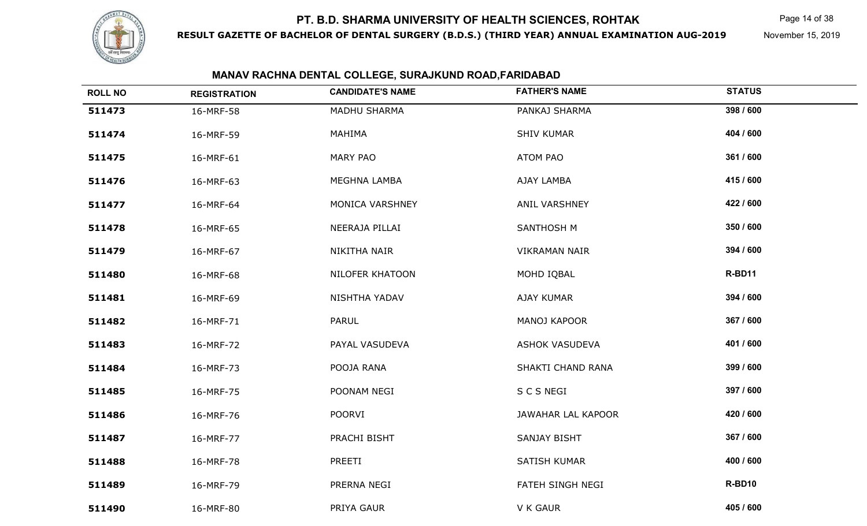

**RESULT GAZETTE OF BACHELOR OF DENTAL SURGERY (B.D.S.) (THIRD YEAR) ANNUAL EXAMINATION AUG-2019**

Page 14 of 38

November 15, 2019

| <b>ROLL NO</b> | <b>REGISTRATION</b> | <b>CANDIDATE'S NAME</b> | <b>FATHER'S NAME</b> | <b>STATUS</b> |
|----------------|---------------------|-------------------------|----------------------|---------------|
| 511473         | 16-MRF-58           | MADHU SHARMA            | PANKAJ SHARMA        | 398 / 600     |
| 511474         | 16-MRF-59           | MAHIMA                  | <b>SHIV KUMAR</b>    | 404 / 600     |
| 511475         | 16-MRF-61           | <b>MARY PAO</b>         | ATOM PAO             | 361 / 600     |
| 511476         | 16-MRF-63           | MEGHNA LAMBA            | AJAY LAMBA           | 415 / 600     |
| 511477         | 16-MRF-64           | MONICA VARSHNEY         | ANIL VARSHNEY        | 422 / 600     |
| 511478         | 16-MRF-65           | NEERAJA PILLAI          | SANTHOSH M           | 350 / 600     |
| 511479         | 16-MRF-67           | NIKITHA NAIR            | <b>VIKRAMAN NAIR</b> | 394 / 600     |
| 511480         | 16-MRF-68           | NILOFER KHATOON         | MOHD IQBAL           | R-BD11        |
| 511481         | 16-MRF-69           | NISHTHA YADAV           | <b>AJAY KUMAR</b>    | 394 / 600     |
| 511482         | 16-MRF-71           | <b>PARUL</b>            | MANOJ KAPOOR         | 367 / 600     |
| 511483         | 16-MRF-72           | PAYAL VASUDEVA          | ASHOK VASUDEVA       | 401 / 600     |
| 511484         | 16-MRF-73           | POOJA RANA              | SHAKTI CHAND RANA    | 399 / 600     |
| 511485         | 16-MRF-75           | POONAM NEGI             | S C S NEGI           | 397 / 600     |
| 511486         | 16-MRF-76           | <b>POORVI</b>           | JAWAHAR LAL KAPOOR   | 420 / 600     |
| 511487         | 16-MRF-77           | PRACHI BISHT            | SANJAY BISHT         | 367 / 600     |
| 511488         | 16-MRF-78           | PREETI                  | SATISH KUMAR         | 400 / 600     |
| 511489         | 16-MRF-79           | PRERNA NEGI             | FATEH SINGH NEGI     | R-BD10        |
| 511490         | 16-MRF-80           | PRIYA GAUR              | V K GAUR             | 405 / 600     |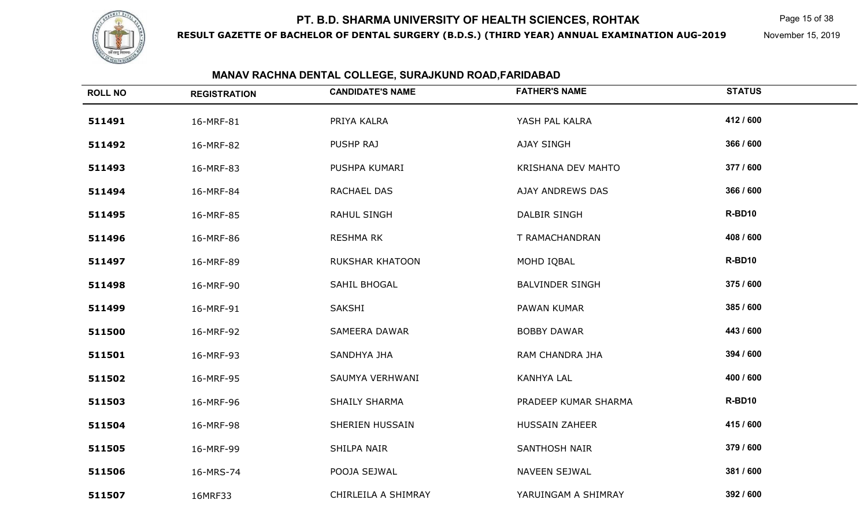

**RESULT GAZETTE OF BACHELOR OF DENTAL SURGERY (B.D.S.) (THIRD YEAR) ANNUAL EXAMINATION AUG-2019**

Page 15 of 38

November 15, 2019

| <b>ROLL NO</b> | <b>REGISTRATION</b> | <b>CANDIDATE'S NAME</b> | <b>FATHER'S NAME</b>   | <b>STATUS</b> |
|----------------|---------------------|-------------------------|------------------------|---------------|
| 511491         | 16-MRF-81           | PRIYA KALRA             | YASH PAL KALRA         | 412 / 600     |
| 511492         | 16-MRF-82           | PUSHP RAJ               | AJAY SINGH             | 366 / 600     |
| 511493         | 16-MRF-83           | PUSHPA KUMARI           | KRISHANA DEV MAHTO     | 377 / 600     |
| 511494         | 16-MRF-84           | RACHAEL DAS             | AJAY ANDREWS DAS       | 366 / 600     |
| 511495         | 16-MRF-85           | RAHUL SINGH             | DALBIR SINGH           | R-BD10        |
| 511496         | 16-MRF-86           | <b>RESHMA RK</b>        | T RAMACHANDRAN         | 408 / 600     |
| 511497         | 16-MRF-89           | <b>RUKSHAR KHATOON</b>  | MOHD IQBAL             | R-BD10        |
| 511498         | 16-MRF-90           | SAHIL BHOGAL            | <b>BALVINDER SINGH</b> | 375 / 600     |
| 511499         | 16-MRF-91           | SAKSHI                  | PAWAN KUMAR            | 385 / 600     |
| 511500         | 16-MRF-92           | SAMEERA DAWAR           | <b>BOBBY DAWAR</b>     | 443 / 600     |
| 511501         | 16-MRF-93           | SANDHYA JHA             | RAM CHANDRA JHA        | 394 / 600     |
| 511502         | 16-MRF-95           | SAUMYA VERHWANI         | <b>KANHYA LAL</b>      | 400 / 600     |
| 511503         | 16-MRF-96           | SHAILY SHARMA           | PRADEEP KUMAR SHARMA   | R-BD10        |
| 511504         | 16-MRF-98           | SHERIEN HUSSAIN         | <b>HUSSAIN ZAHEER</b>  | 415 / 600     |
| 511505         | 16-MRF-99           | SHILPA NAIR             | SANTHOSH NAIR          | 379 / 600     |
| 511506         | 16-MRS-74           | POOJA SEJWAL            | NAVEEN SEJWAL          | 381 / 600     |
| 511507         | 16MRF33             | CHIRLEILA A SHIMRAY     | YARUINGAM A SHIMRAY    | 392 / 600     |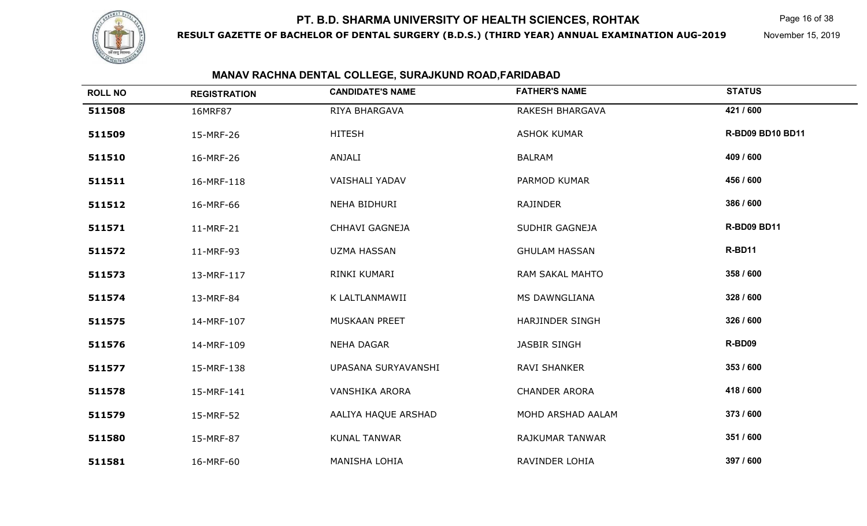

**RESULT GAZETTE OF BACHELOR OF DENTAL SURGERY (B.D.S.) (THIRD YEAR) ANNUAL EXAMINATION AUG-2019**

Page 16 of 38

November 15, 2019

| <b>ROLL NO</b> | <b>REGISTRATION</b> | <b>CANDIDATE'S NAME</b> | <b>FATHER'S NAME</b>   | <b>STATUS</b>           |
|----------------|---------------------|-------------------------|------------------------|-------------------------|
| 511508         | 16MRF87             | RIYA BHARGAVA           | RAKESH BHARGAVA        | 421 / 600               |
| 511509         | 15-MRF-26           | <b>HITESH</b>           | <b>ASHOK KUMAR</b>     | <b>R-BD09 BD10 BD11</b> |
| 511510         | 16-MRF-26           | ANJALI                  | <b>BALRAM</b>          | 409 / 600               |
| 511511         | 16-MRF-118          | VAISHALI YADAV          | PARMOD KUMAR           | 456 / 600               |
| 511512         | 16-MRF-66           | NEHA BIDHURI            | RAJINDER               | 386 / 600               |
| 511571         | 11-MRF-21           | CHHAVI GAGNEJA          | SUDHIR GAGNEJA         | <b>R-BD09 BD11</b>      |
| 511572         | 11-MRF-93           | <b>UZMA HASSAN</b>      | <b>GHULAM HASSAN</b>   | R-BD11                  |
| 511573         | 13-MRF-117          | RINKI KUMARI            | RAM SAKAL MAHTO        | 358 / 600               |
| 511574         | 13-MRF-84           | K LALTLANMAWII          | MS DAWNGLIANA          | 328 / 600               |
| 511575         | 14-MRF-107          | MUSKAAN PREET           | <b>HARJINDER SINGH</b> | 326 / 600               |
| 511576         | 14-MRF-109          | <b>NEHA DAGAR</b>       | <b>JASBIR SINGH</b>    | R-BD09                  |
| 511577         | 15-MRF-138          | UPASANA SURYAVANSHI     | <b>RAVI SHANKER</b>    | 353 / 600               |
| 511578         | 15-MRF-141          | <b>VANSHIKA ARORA</b>   | <b>CHANDER ARORA</b>   | 418 / 600               |
| 511579         | 15-MRF-52           | AALIYA HAQUE ARSHAD     | MOHD ARSHAD AALAM      | 373 / 600               |
| 511580         | 15-MRF-87           | <b>KUNAL TANWAR</b>     | RAJKUMAR TANWAR        | 351 / 600               |
| 511581         | 16-MRF-60           | <b>MANISHA LOHIA</b>    | RAVINDER LOHIA         | 397 / 600               |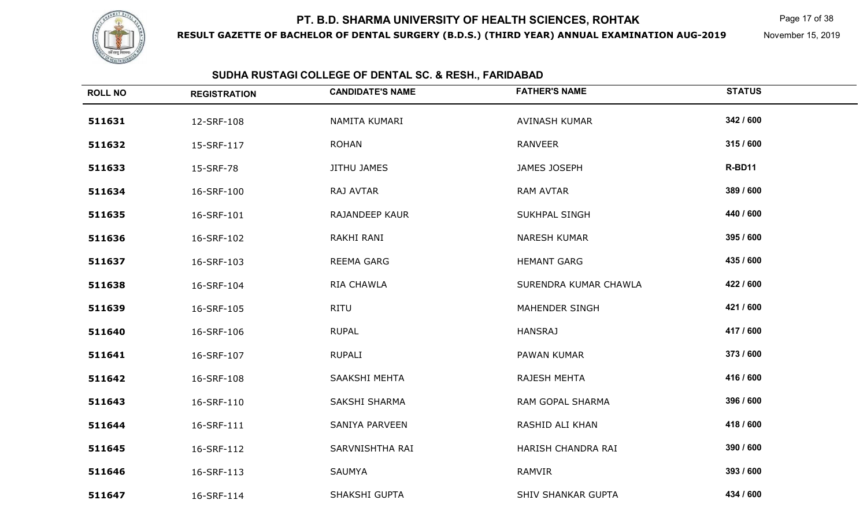

**RESULT GAZETTE OF BACHELOR OF DENTAL SURGERY (B.D.S.) (THIRD YEAR) ANNUAL EXAMINATION AUG-2019**

Page 17 of 38

November 15, 2019

| <b>ROLL NO</b> | <b>REGISTRATION</b> | <b>CANDIDATE'S NAME</b> | <b>FATHER'S NAME</b>      | <b>STATUS</b> |
|----------------|---------------------|-------------------------|---------------------------|---------------|
| 511631         | 12-SRF-108          | NAMITA KUMARI           | AVINASH KUMAR             | 342 / 600     |
| 511632         | 15-SRF-117          | <b>ROHAN</b>            | <b>RANVEER</b>            | 315 / 600     |
| 511633         | 15-SRF-78           | <b>JITHU JAMES</b>      | JAMES JOSEPH              | R-BD11        |
| 511634         | 16-SRF-100          | RAJ AVTAR               | <b>RAM AVTAR</b>          | 389 / 600     |
| 511635         | 16-SRF-101          | RAJANDEEP KAUR          | SUKHPAL SINGH             | 440 / 600     |
| 511636         | 16-SRF-102          | RAKHI RANI              | <b>NARESH KUMAR</b>       | 395 / 600     |
| 511637         | 16-SRF-103          | REEMA GARG              | <b>HEMANT GARG</b>        | 435 / 600     |
| 511638         | 16-SRF-104          | RIA CHAWLA              | SURENDRA KUMAR CHAWLA     | 422 / 600     |
| 511639         | 16-SRF-105          | <b>RITU</b>             | MAHENDER SINGH            | 421 / 600     |
| 511640         | 16-SRF-106          | <b>RUPAL</b>            | <b>HANSRAJ</b>            | 417 / 600     |
| 511641         | 16-SRF-107          | <b>RUPALI</b>           | PAWAN KUMAR               | 373 / 600     |
| 511642         | 16-SRF-108          | SAAKSHI MEHTA           | RAJESH MEHTA              | 416 / 600     |
| 511643         | 16-SRF-110          | SAKSHI SHARMA           | RAM GOPAL SHARMA          | 396 / 600     |
| 511644         | 16-SRF-111          | <b>SANIYA PARVEEN</b>   | RASHID ALI KHAN           | 418 / 600     |
| 511645         | 16-SRF-112          | SARVNISHTHA RAI         | HARISH CHANDRA RAI        | 390 / 600     |
| 511646         | 16-SRF-113          | <b>SAUMYA</b>           | RAMVIR                    | 393 / 600     |
| 511647         | 16-SRF-114          | SHAKSHI GUPTA           | <b>SHIV SHANKAR GUPTA</b> | 434 / 600     |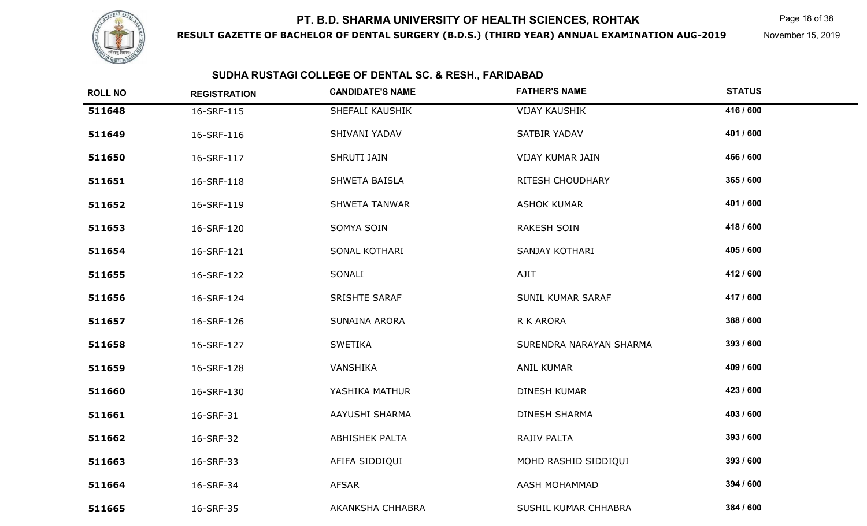

**RESULT GAZETTE OF BACHELOR OF DENTAL SURGERY (B.D.S.) (THIRD YEAR) ANNUAL EXAMINATION AUG-2019**

Page 18 of 38

November 15, 2019

| <b>ROLL NO</b> | <b>REGISTRATION</b> | <b>CANDIDATE'S NAME</b> | <b>FATHER'S NAME</b>    | <b>STATUS</b> |
|----------------|---------------------|-------------------------|-------------------------|---------------|
| 511648         | 16-SRF-115          | SHEFALI KAUSHIK         | <b>VIJAY KAUSHIK</b>    | 416 / 600     |
| 511649         | 16-SRF-116          | SHIVANI YADAV           | SATBIR YADAV            | 401 / 600     |
| 511650         | 16-SRF-117          | SHRUTI JAIN             | VIJAY KUMAR JAIN        | 466 / 600     |
| 511651         | 16-SRF-118          | SHWETA BAISLA           | RITESH CHOUDHARY        | 365 / 600     |
| 511652         | 16-SRF-119          | <b>SHWETA TANWAR</b>    | <b>ASHOK KUMAR</b>      | 401 / 600     |
| 511653         | 16-SRF-120          | SOMYA SOIN              | <b>RAKESH SOIN</b>      | 418 / 600     |
| 511654         | 16-SRF-121          | SONAL KOTHARI           | SANJAY KOTHARI          | 405 / 600     |
| 511655         | 16-SRF-122          | SONALI                  | AJIT                    | 412 / 600     |
| 511656         | 16-SRF-124          | <b>SRISHTE SARAF</b>    | SUNIL KUMAR SARAF       | 417 / 600     |
| 511657         | 16-SRF-126          | SUNAINA ARORA           | R K ARORA               | 388 / 600     |
| 511658         | 16-SRF-127          | <b>SWETIKA</b>          | SURENDRA NARAYAN SHARMA | 393 / 600     |
| 511659         | 16-SRF-128          | VANSHIKA                | <b>ANIL KUMAR</b>       | 409 / 600     |
| 511660         | 16-SRF-130          | YASHIKA MATHUR          | DINESH KUMAR            | 423 / 600     |
| 511661         | 16-SRF-31           | AAYUSHI SHARMA          | <b>DINESH SHARMA</b>    | 403 / 600     |
| 511662         | 16-SRF-32           | <b>ABHISHEK PALTA</b>   | RAJIV PALTA             | 393 / 600     |
| 511663         | 16-SRF-33           | AFIFA SIDDIQUI          | MOHD RASHID SIDDIQUI    | 393 / 600     |
| 511664         | 16-SRF-34           | AFSAR                   | AASH MOHAMMAD           | 394 / 600     |
| 511665         | 16-SRF-35           | AKANKSHA CHHABRA        | SUSHIL KUMAR CHHABRA    | 384 / 600     |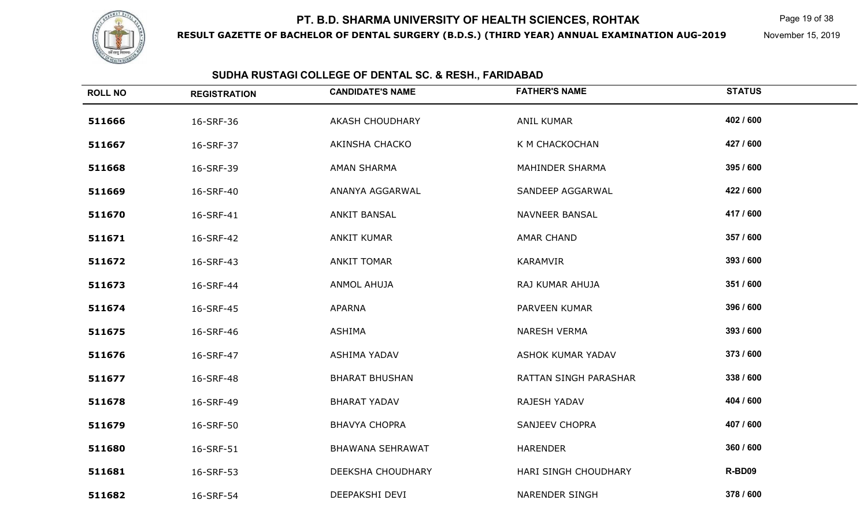

**RESULT GAZETTE OF BACHELOR OF DENTAL SURGERY (B.D.S.) (THIRD YEAR) ANNUAL EXAMINATION AUG-2019**

Page 19 of 38

November 15, 2019

| <b>ROLL NO</b> | <b>REGISTRATION</b> | <b>CANDIDATE'S NAME</b> | <b>FATHER'S NAME</b>  | <b>STATUS</b> |
|----------------|---------------------|-------------------------|-----------------------|---------------|
| 511666         | 16-SRF-36           | <b>AKASH CHOUDHARY</b>  | <b>ANIL KUMAR</b>     | 402 / 600     |
| 511667         | 16-SRF-37           | AKINSHA CHACKO          | K M CHACKOCHAN        | 427 / 600     |
| 511668         | 16-SRF-39           | AMAN SHARMA             | MAHINDER SHARMA       | 395 / 600     |
| 511669         | 16-SRF-40           | ANANYA AGGARWAL         | SANDEEP AGGARWAL      | 422 / 600     |
| 511670         | 16-SRF-41           | <b>ANKIT BANSAL</b>     | <b>NAVNEER BANSAL</b> | 417 / 600     |
| 511671         | 16-SRF-42           | <b>ANKIT KUMAR</b>      | <b>AMAR CHAND</b>     | 357 / 600     |
| 511672         | 16-SRF-43           | <b>ANKIT TOMAR</b>      | KARAMVIR              | 393 / 600     |
| 511673         | 16-SRF-44           | <b>ANMOL AHUJA</b>      | RAJ KUMAR AHUJA       | 351 / 600     |
| 511674         | 16-SRF-45           | <b>APARNA</b>           | PARVEEN KUMAR         | 396 / 600     |
| 511675         | 16-SRF-46           | <b>ASHIMA</b>           | <b>NARESH VERMA</b>   | 393 / 600     |
| 511676         | 16-SRF-47           | ASHIMA YADAV            | ASHOK KUMAR YADAV     | 373 / 600     |
| 511677         | 16-SRF-48           | <b>BHARAT BHUSHAN</b>   | RATTAN SINGH PARASHAR | 338 / 600     |
| 511678         | 16-SRF-49           | <b>BHARAT YADAV</b>     | RAJESH YADAV          | 404 / 600     |
| 511679         | 16-SRF-50           | <b>BHAVYA CHOPRA</b>    | <b>SANJEEV CHOPRA</b> | 407 / 600     |
| 511680         | 16-SRF-51           | <b>BHAWANA SEHRAWAT</b> | <b>HARENDER</b>       | 360 / 600     |
| 511681         | 16-SRF-53           | DEEKSHA CHOUDHARY       | HARI SINGH CHOUDHARY  | R-BD09        |
| 511682         | 16-SRF-54           | DEEPAKSHI DEVI          | <b>NARENDER SINGH</b> | 378 / 600     |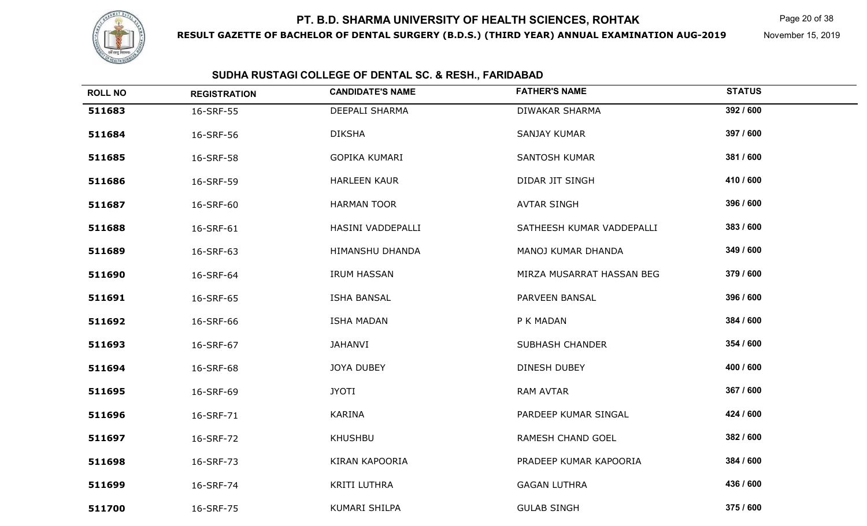

**RESULT GAZETTE OF BACHELOR OF DENTAL SURGERY (B.D.S.) (THIRD YEAR) ANNUAL EXAMINATION AUG-2019**

Page 20 of 38

November 15, 2019

| <b>ROLL NO</b> | <b>REGISTRATION</b> | <b>CANDIDATE'S NAME</b> | <b>FATHER'S NAME</b>      | <b>STATUS</b> |
|----------------|---------------------|-------------------------|---------------------------|---------------|
| 511683         | 16-SRF-55           | DEEPALI SHARMA          | DIWAKAR SHARMA            | 392 / 600     |
| 511684         | 16-SRF-56           | <b>DIKSHA</b>           | SANJAY KUMAR              | 397 / 600     |
| 511685         | 16-SRF-58           | GOPIKA KUMARI           | <b>SANTOSH KUMAR</b>      | 381 / 600     |
| 511686         | 16-SRF-59           | <b>HARLEEN KAUR</b>     | DIDAR JIT SINGH           | 410 / 600     |
| 511687         | 16-SRF-60           | <b>HARMAN TOOR</b>      | <b>AVTAR SINGH</b>        | 396 / 600     |
| 511688         | 16-SRF-61           | HASINI VADDEPALLI       | SATHEESH KUMAR VADDEPALLI | 383 / 600     |
| 511689         | 16-SRF-63           | HIMANSHU DHANDA         | MANOJ KUMAR DHANDA        | 349 / 600     |
| 511690         | 16-SRF-64           | <b>IRUM HASSAN</b>      | MIRZA MUSARRAT HASSAN BEG | 379 / 600     |
| 511691         | 16-SRF-65           | <b>ISHA BANSAL</b>      | PARVEEN BANSAL            | 396 / 600     |
| 511692         | 16-SRF-66           | <b>ISHA MADAN</b>       | P K MADAN                 | 384 / 600     |
| 511693         | 16-SRF-67           | JAHANVI                 | <b>SUBHASH CHANDER</b>    | 354 / 600     |
| 511694         | 16-SRF-68           | <b>JOYA DUBEY</b>       | <b>DINESH DUBEY</b>       | 400 / 600     |
| 511695         | 16-SRF-69           | <b>JYOTI</b>            | RAM AVTAR                 | 367 / 600     |
| 511696         | 16-SRF-71           | KARINA                  | PARDEEP KUMAR SINGAL      | 424 / 600     |
| 511697         | 16-SRF-72           | KHUSHBU                 | RAMESH CHAND GOEL         | 382 / 600     |
| 511698         | 16-SRF-73           | <b>KIRAN KAPOORIA</b>   | PRADEEP KUMAR KAPOORIA    | 384 / 600     |
| 511699         | 16-SRF-74           | KRITI LUTHRA            | <b>GAGAN LUTHRA</b>       | 436 / 600     |
| 511700         | 16-SRF-75           | KUMARI SHILPA           | <b>GULAB SINGH</b>        | 375 / 600     |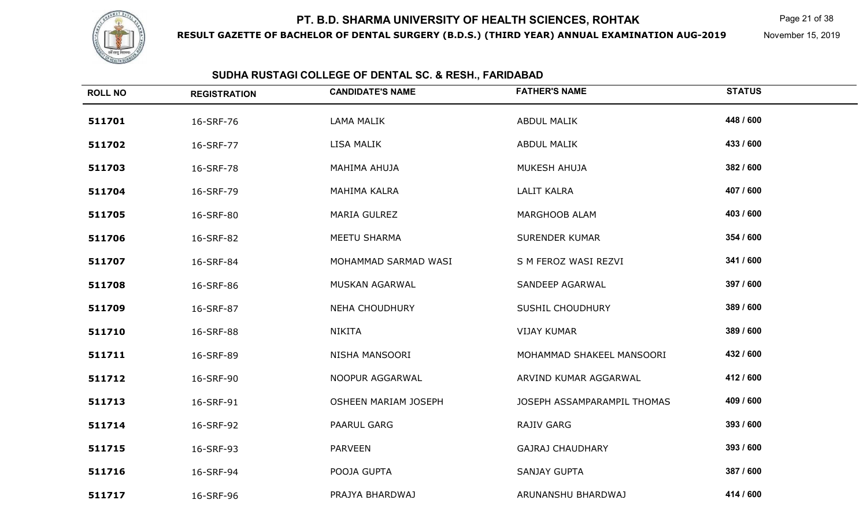

**RESULT GAZETTE OF BACHELOR OF DENTAL SURGERY (B.D.S.) (THIRD YEAR) ANNUAL EXAMINATION AUG-2019**

Page 21 of 38

November 15, 2019

| <b>ROLL NO</b> | <b>REGISTRATION</b> | <b>CANDIDATE'S NAME</b>     | <b>FATHER'S NAME</b>        | <b>STATUS</b> |
|----------------|---------------------|-----------------------------|-----------------------------|---------------|
| 511701         | 16-SRF-76           | <b>LAMA MALIK</b>           | <b>ABDUL MALIK</b>          | 448 / 600     |
| 511702         | 16-SRF-77           | LISA MALIK                  | <b>ABDUL MALIK</b>          | 433 / 600     |
| 511703         | 16-SRF-78           | MAHIMA AHUJA                | MUKESH AHUJA                | 382 / 600     |
| 511704         | 16-SRF-79           | MAHIMA KALRA                | <b>LALIT KALRA</b>          | 407 / 600     |
| 511705         | 16-SRF-80           | <b>MARIA GULREZ</b>         | MARGHOOB ALAM               | 403 / 600     |
| 511706         | 16-SRF-82           | MEETU SHARMA                | <b>SURENDER KUMAR</b>       | 354 / 600     |
| 511707         | 16-SRF-84           | MOHAMMAD SARMAD WASI        | S M FEROZ WASI REZVI        | 341 / 600     |
| 511708         | 16-SRF-86           | MUSKAN AGARWAL              | SANDEEP AGARWAL             | 397 / 600     |
| 511709         | 16-SRF-87           | <b>NEHA CHOUDHURY</b>       | <b>SUSHIL CHOUDHURY</b>     | 389 / 600     |
| 511710         | 16-SRF-88           | <b>NIKITA</b>               | <b>VIJAY KUMAR</b>          | 389 / 600     |
| 511711         | 16-SRF-89           | NISHA MANSOORI              | MOHAMMAD SHAKEEL MANSOORI   | 432 / 600     |
| 511712         | 16-SRF-90           | NOOPUR AGGARWAL             | ARVIND KUMAR AGGARWAL       | 412 / 600     |
| 511713         | 16-SRF-91           | <b>OSHEEN MARIAM JOSEPH</b> | JOSEPH ASSAMPARAMPIL THOMAS | 409 / 600     |
| 511714         | 16-SRF-92           | PAARUL GARG                 | <b>RAJIV GARG</b>           | 393 / 600     |
| 511715         | 16-SRF-93           | <b>PARVEEN</b>              | <b>GAJRAJ CHAUDHARY</b>     | 393 / 600     |
| 511716         | 16-SRF-94           | POOJA GUPTA                 | <b>SANJAY GUPTA</b>         | 387 / 600     |
| 511717         | 16-SRF-96           | PRAJYA BHARDWAJ             | ARUNANSHU BHARDWAJ          | 414 / 600     |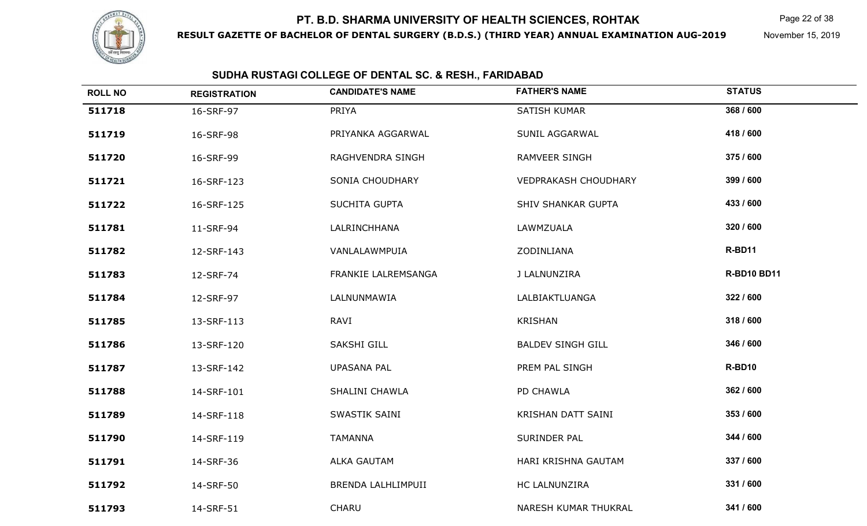

**RESULT GAZETTE OF BACHELOR OF DENTAL SURGERY (B.D.S.) (THIRD YEAR) ANNUAL EXAMINATION AUG-2019**

Page 22 of 38

November 15, 2019

| <b>ROLL NO</b> | <b>REGISTRATION</b> | <b>CANDIDATE'S NAME</b> | <b>FATHER'S NAME</b>        | <b>STATUS</b>      |
|----------------|---------------------|-------------------------|-----------------------------|--------------------|
| 511718         | 16-SRF-97           | PRIYA                   | SATISH KUMAR                | 368 / 600          |
| 511719         | 16-SRF-98           | PRIYANKA AGGARWAL       | SUNIL AGGARWAL              | 418 / 600          |
| 511720         | 16-SRF-99           | RAGHVENDRA SINGH        | <b>RAMVEER SINGH</b>        | 375 / 600          |
| 511721         | 16-SRF-123          | SONIA CHOUDHARY         | <b>VEDPRAKASH CHOUDHARY</b> | 399 / 600          |
| 511722         | 16-SRF-125          | SUCHITA GUPTA           | <b>SHIV SHANKAR GUPTA</b>   | 433 / 600          |
| 511781         | 11-SRF-94           | LALRINCHHANA            | LAWMZUALA                   | 320 / 600          |
| 511782         | 12-SRF-143          | VANLALAWMPUIA           | ZODINLIANA                  | R-BD11             |
| 511783         | 12-SRF-74           | FRANKIE LALREMSANGA     | J LALNUNZIRA                | <b>R-BD10 BD11</b> |
| 511784         | 12-SRF-97           | LALNUNMAWIA             | LALBIAKTLUANGA              | 322 / 600          |
| 511785         | 13-SRF-113          | RAVI                    | KRISHAN                     | 318 / 600          |
| 511786         | 13-SRF-120          | <b>SAKSHI GILL</b>      | <b>BALDEV SINGH GILL</b>    | 346 / 600          |
| 511787         | 13-SRF-142          | <b>UPASANA PAL</b>      | PREM PAL SINGH              | R-BD10             |
| 511788         | 14-SRF-101          | SHALINI CHAWLA          | PD CHAWLA                   | 362 / 600          |
| 511789         | 14-SRF-118          | SWASTIK SAINI           | KRISHAN DATT SAINI          | 353 / 600          |
| 511790         | 14-SRF-119          | <b>TAMANNA</b>          | SURINDER PAL                | 344 / 600          |
| 511791         | 14-SRF-36           | <b>ALKA GAUTAM</b>      | HARI KRISHNA GAUTAM         | 337 / 600          |
| 511792         | 14-SRF-50           | BRENDA LALHLIMPUII      | HC LALNUNZIRA               | 331 / 600          |
| 511793         | 14-SRF-51           | CHARU                   | NARESH KUMAR THUKRAL        | 341 / 600          |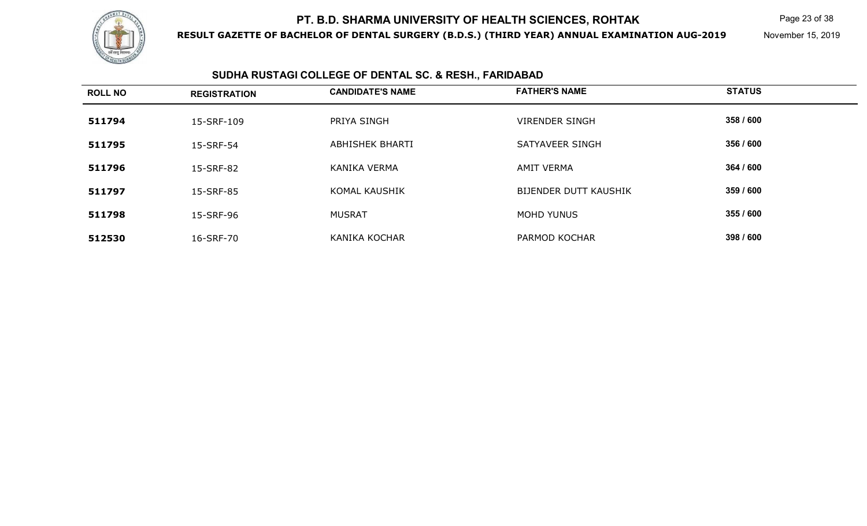

**RESULT GAZETTE OF BACHELOR OF DENTAL SURGERY (B.D.S.) (THIRD YEAR) ANNUAL EXAMINATION AUG-2019**

Page 23 of 38

November 15, 2019

| <b>ROLL NO</b> | <b>REGISTRATION</b> | <b>CANDIDATE'S NAME</b> | <b>FATHER'S NAME</b>  | <b>STATUS</b> |
|----------------|---------------------|-------------------------|-----------------------|---------------|
| 511794         | 15-SRF-109          | PRIYA SINGH             | <b>VIRENDER SINGH</b> | 358 / 600     |
| 511795         | 15-SRF-54           | ABHISHEK BHARTI         | SATYAVEER SINGH       | 356 / 600     |
| 511796         | 15-SRF-82           | <b>KANIKA VERMA</b>     | <b>AMIT VERMA</b>     | 364 / 600     |
| 511797         | 15-SRF-85           | <b>KOMAL KAUSHIK</b>    | BIJENDER DUTT KAUSHIK | 359 / 600     |
| 511798         | 15-SRF-96           | <b>MUSRAT</b>           | MOHD YUNUS            | 355 / 600     |
| 512530         | 16-SRF-70           | <b>KANIKA KOCHAR</b>    | PARMOD KOCHAR         | 398 / 600     |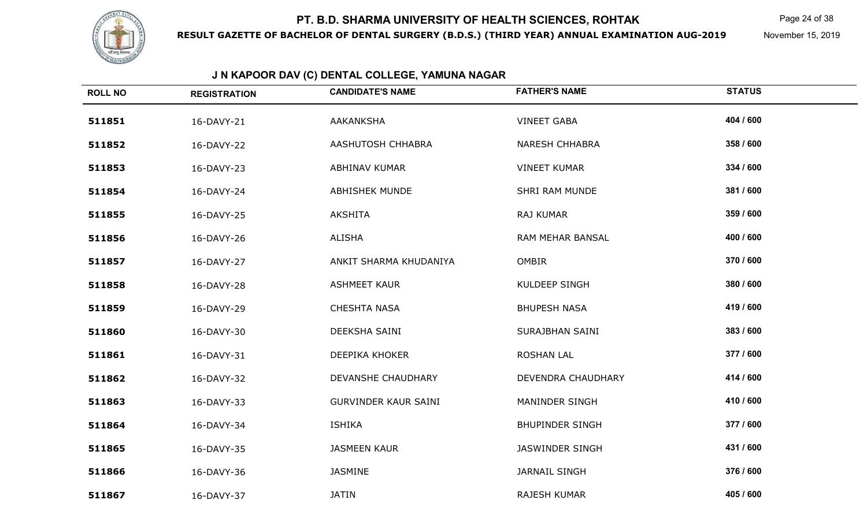

**RESULT GAZETTE OF BACHELOR OF DENTAL SURGERY (B.D.S.) (THIRD YEAR) ANNUAL EXAMINATION AUG-2019**

Page 24 of 38

November 15, 2019

## **J N KAPOOR DAV (C) DENTAL COLLEGE, YAMUNA NAGAR**

| <b>ROLL NO</b> | <b>REGISTRATION</b> | <b>CANDIDATE'S NAME</b>     | <b>FATHER'S NAME</b>   | <b>STATUS</b> |
|----------------|---------------------|-----------------------------|------------------------|---------------|
| 511851         | 16-DAVY-21          | <b>AAKANKSHA</b>            | <b>VINEET GABA</b>     | 404 / 600     |
| 511852         | 16-DAVY-22          | AASHUTOSH CHHABRA           | <b>NARESH CHHABRA</b>  | 358 / 600     |
| 511853         | 16-DAVY-23          | ABHINAV KUMAR               | <b>VINEET KUMAR</b>    | 334 / 600     |
| 511854         | 16-DAVY-24          | <b>ABHISHEK MUNDE</b>       | SHRI RAM MUNDE         | 381 / 600     |
| 511855         | 16-DAVY-25          | <b>AKSHITA</b>              | RAJ KUMAR              | 359 / 600     |
| 511856         | 16-DAVY-26          | ALISHA                      | RAM MEHAR BANSAL       | 400 / 600     |
| 511857         | 16-DAVY-27          | ANKIT SHARMA KHUDANIYA      | <b>OMBIR</b>           | 370 / 600     |
| 511858         | 16-DAVY-28          | <b>ASHMEET KAUR</b>         | <b>KULDEEP SINGH</b>   | 380 / 600     |
| 511859         | 16-DAVY-29          | <b>CHESHTA NASA</b>         | <b>BHUPESH NASA</b>    | 419 / 600     |
| 511860         | 16-DAVY-30          | DEEKSHA SAINI               | SURAJBHAN SAINI        | 383 / 600     |
| 511861         | 16-DAVY-31          | DEEPIKA KHOKER              | <b>ROSHAN LAL</b>      | 377 / 600     |
| 511862         | 16-DAVY-32          | <b>DEVANSHE CHAUDHARY</b>   | DEVENDRA CHAUDHARY     | 414 / 600     |
| 511863         | 16-DAVY-33          | <b>GURVINDER KAUR SAINI</b> | MANINDER SINGH         | 410 / 600     |
| 511864         | 16-DAVY-34          | <b>ISHIKA</b>               | <b>BHUPINDER SINGH</b> | 377 / 600     |
| 511865         | 16-DAVY-35          | <b>JASMEEN KAUR</b>         | JASWINDER SINGH        | 431 / 600     |
| 511866         | 16-DAVY-36          | <b>JASMINE</b>              | <b>JARNAIL SINGH</b>   | 376 / 600     |
| 511867         | 16-DAVY-37          | <b>JATIN</b>                | RAJESH KUMAR           | 405 / 600     |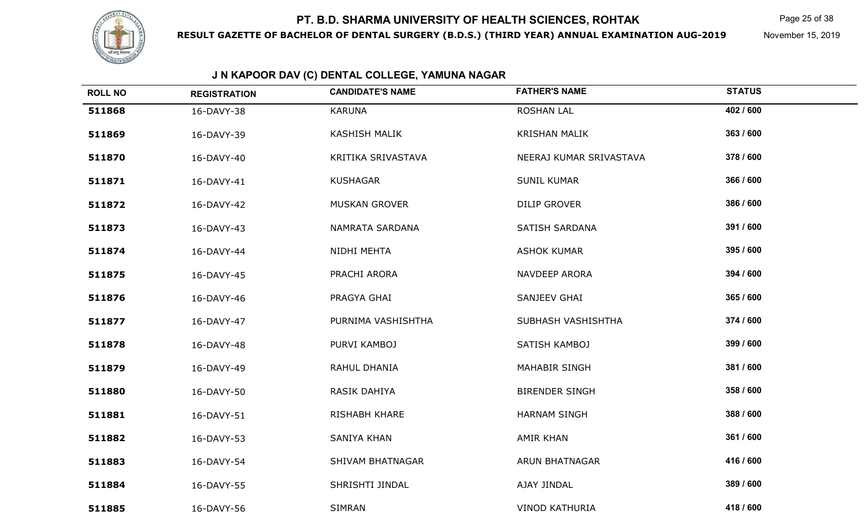

**RESULT GAZETTE OF BACHELOR OF DENTAL SURGERY (B.D.S.) (THIRD YEAR) ANNUAL EXAMINATION AUG-2019**

Page 25 of 38

November 15, 2019

## **J N KAPOOR DAV (C) DENTAL COLLEGE, YAMUNA NAGAR**

| <b>ROLL NO</b> | <b>REGISTRATION</b> | <b>CANDIDATE'S NAME</b> | <b>FATHER'S NAME</b>    | <b>STATUS</b> |
|----------------|---------------------|-------------------------|-------------------------|---------------|
| 511868         | 16-DAVY-38          | <b>KARUNA</b>           | <b>ROSHAN LAL</b>       | 402 / 600     |
| 511869         | 16-DAVY-39          | <b>KASHISH MALIK</b>    | <b>KRISHAN MALIK</b>    | 363 / 600     |
| 511870         | 16-DAVY-40          | KRITIKA SRIVASTAVA      | NEERAJ KUMAR SRIVASTAVA | 378 / 600     |
| 511871         | 16-DAVY-41          | <b>KUSHAGAR</b>         | <b>SUNIL KUMAR</b>      | 366 / 600     |
| 511872         | 16-DAVY-42          | MUSKAN GROVER           | <b>DILIP GROVER</b>     | 386 / 600     |
| 511873         | 16-DAVY-43          | NAMRATA SARDANA         | <b>SATISH SARDANA</b>   | 391 / 600     |
| 511874         | 16-DAVY-44          | NIDHI MEHTA             | <b>ASHOK KUMAR</b>      | 395 / 600     |
| 511875         | 16-DAVY-45          | PRACHI ARORA            | NAVDEEP ARORA           | 394 / 600     |
| 511876         | 16-DAVY-46          | PRAGYA GHAI             | SANJEEV GHAI            | 365 / 600     |
| 511877         | 16-DAVY-47          | PURNIMA VASHISHTHA      | SUBHASH VASHISHTHA      | 374 / 600     |
| 511878         | 16-DAVY-48          | PURVI KAMBOJ            | SATISH KAMBOJ           | 399 / 600     |
| 511879         | 16-DAVY-49          | RAHUL DHANIA            | <b>MAHABIR SINGH</b>    | 381 / 600     |
| 511880         | 16-DAVY-50          | RASIK DAHIYA            | <b>BIRENDER SINGH</b>   | 358 / 600     |
| 511881         | 16-DAVY-51          | RISHABH KHARE           | <b>HARNAM SINGH</b>     | 388 / 600     |
| 511882         | 16-DAVY-53          | <b>SANIYA KHAN</b>      | <b>AMIR KHAN</b>        | 361 / 600     |
| 511883         | 16-DAVY-54          | <b>SHIVAM BHATNAGAR</b> | ARUN BHATNAGAR          | 416 / 600     |
| 511884         | 16-DAVY-55          | SHRISHTI JINDAL         | AJAY JINDAL             | 389 / 600     |
| 511885         | 16-DAVY-56          | <b>SIMRAN</b>           | <b>VINOD KATHURIA</b>   | 418 / 600     |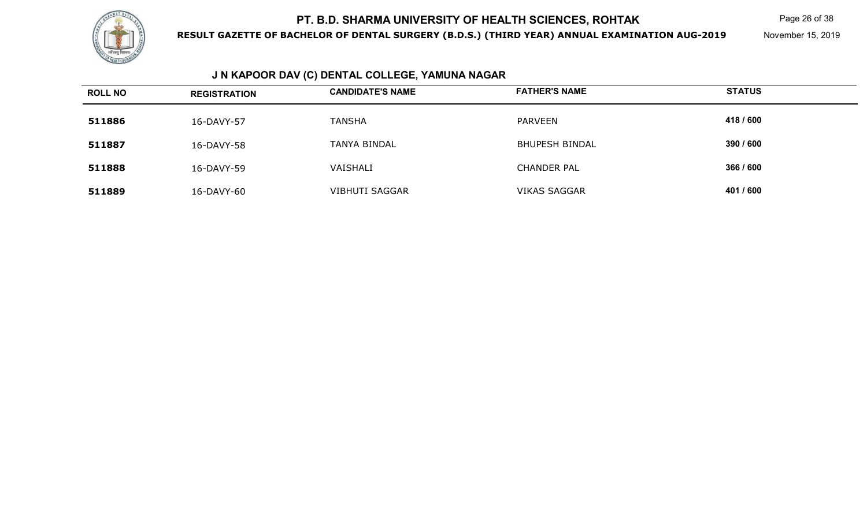

**RESULT GAZETTE OF BACHELOR OF DENTAL SURGERY (B.D.S.) (THIRD YEAR) ANNUAL EXAMINATION AUG-2019**

Page 26 of 38

November 15, 2019

## **J N KAPOOR DAV (C) DENTAL COLLEGE, YAMUNA NAGAR**

| <b>ROLL NO</b> | <b>REGISTRATION</b> | <b>CANDIDATE'S NAME</b> | <b>FATHER'S NAME</b>  | <b>STATUS</b> |
|----------------|---------------------|-------------------------|-----------------------|---------------|
| 511886         | 16-DAVY-57          | <b>TANSHA</b>           | PARVEEN               | 418 / 600     |
| 511887         | 16-DAVY-58          | TANYA BINDAL            | <b>BHUPESH BINDAL</b> | 390 / 600     |
| 511888         | 16-DAVY-59          | VAISHALI                | <b>CHANDER PAL</b>    | 366 / 600     |
| 511889         | 16-DAVY-60          | <b>VIBHUTI SAGGAR</b>   | <b>VIKAS SAGGAR</b>   | 401 / 600     |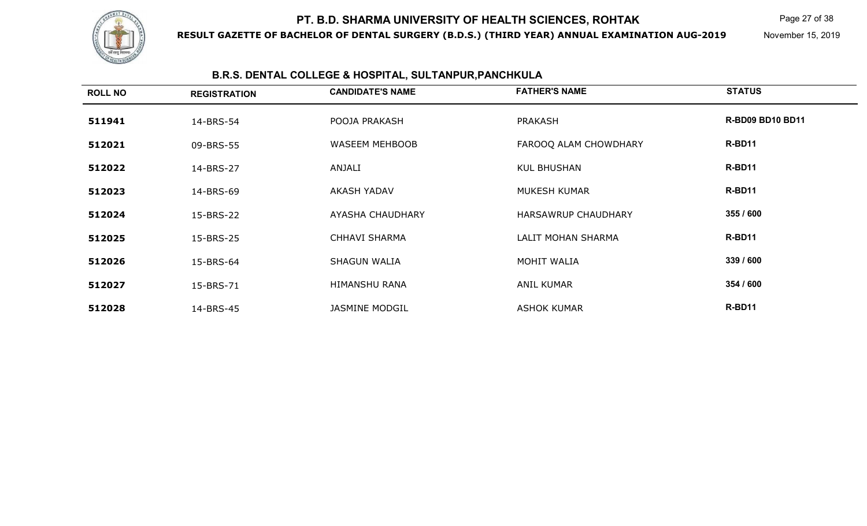

**RESULT GAZETTE OF BACHELOR OF DENTAL SURGERY (B.D.S.) (THIRD YEAR) ANNUAL EXAMINATION AUG-2019**

Page 27 of 38

November 15, 2019

## **B.R.S. DENTAL COLLEGE & HOSPITAL, SULTANPUR,PANCHKULA**

| <b>ROLL NO</b> | <b>REGISTRATION</b> | <b>CANDIDATE'S NAME</b> | <b>FATHER'S NAME</b>       | <b>STATUS</b>           |
|----------------|---------------------|-------------------------|----------------------------|-------------------------|
| 511941         | 14-BRS-54           | POOJA PRAKASH           | PRAKASH                    | <b>R-BD09 BD10 BD11</b> |
| 512021         | 09-BRS-55           | WASEEM MEHBOOB          | FAROOQ ALAM CHOWDHARY      | R-BD11                  |
| 512022         | 14-BRS-27           | ANJALI                  | <b>KUL BHUSHAN</b>         | R-BD11                  |
| 512023         | 14-BRS-69           | <b>AKASH YADAV</b>      | MUKESH KUMAR               | R-BD11                  |
| 512024         | 15-BRS-22           | <b>AYASHA CHAUDHARY</b> | <b>HARSAWRUP CHAUDHARY</b> | 355 / 600               |
| 512025         | 15-BRS-25           | <b>CHHAVI SHARMA</b>    | LALIT MOHAN SHARMA         | R-BD11                  |
| 512026         | 15-BRS-64           | <b>SHAGUN WALIA</b>     | MOHIT WALIA                | 339 / 600               |
| 512027         | 15-BRS-71           | <b>HIMANSHU RANA</b>    | <b>ANIL KUMAR</b>          | 354 / 600               |
| 512028         | 14-BRS-45           | <b>JASMINE MODGIL</b>   | <b>ASHOK KUMAR</b>         | R-BD11                  |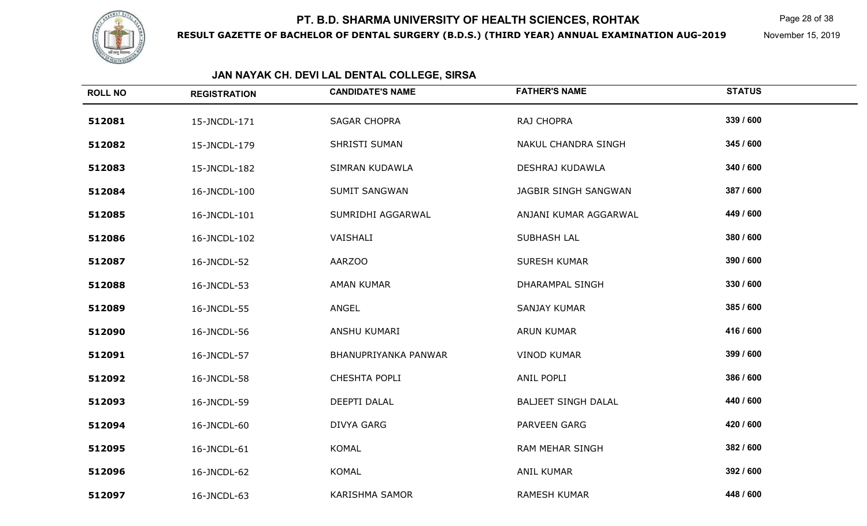

**RESULT GAZETTE OF BACHELOR OF DENTAL SURGERY (B.D.S.) (THIRD YEAR) ANNUAL EXAMINATION AUG-2019**

Page 28 of 38

November 15, 2019

| <b>ROLL NO</b> | <b>REGISTRATION</b> | <b>CANDIDATE'S NAME</b> | <b>FATHER'S NAME</b>       | <b>STATUS</b> |
|----------------|---------------------|-------------------------|----------------------------|---------------|
| 512081         | 15-JNCDL-171        | <b>SAGAR CHOPRA</b>     | RAJ CHOPRA                 | 339 / 600     |
| 512082         | 15-JNCDL-179        | SHRISTI SUMAN           | NAKUL CHANDRA SINGH        | 345 / 600     |
| 512083         | 15-JNCDL-182        | SIMRAN KUDAWLA          | DESHRAJ KUDAWLA            | 340 / 600     |
| 512084         | 16-JNCDL-100        | <b>SUMIT SANGWAN</b>    | JAGBIR SINGH SANGWAN       | 387 / 600     |
| 512085         | 16-JNCDL-101        | SUMRIDHI AGGARWAL       | ANJANI KUMAR AGGARWAL      | 449 / 600     |
| 512086         | 16-JNCDL-102        | VAISHALI                | <b>SUBHASH LAL</b>         | 380 / 600     |
| 512087         | 16-JNCDL-52         | <b>AARZOO</b>           | <b>SURESH KUMAR</b>        | 390 / 600     |
| 512088         | 16-JNCDL-53         | <b>AMAN KUMAR</b>       | <b>DHARAMPAL SINGH</b>     | 330 / 600     |
| 512089         | 16-JNCDL-55         | ANGEL                   | <b>SANJAY KUMAR</b>        | 385 / 600     |
| 512090         | 16-JNCDL-56         | ANSHU KUMARI            | <b>ARUN KUMAR</b>          | 416 / 600     |
| 512091         | 16-JNCDL-57         | BHANUPRIYANKA PANWAR    | <b>VINOD KUMAR</b>         | 399 / 600     |
| 512092         | 16-JNCDL-58         | CHESHTA POPLI           | ANIL POPLI                 | 386 / 600     |
| 512093         | 16-JNCDL-59         | DEEPTI DALAL            | <b>BALJEET SINGH DALAL</b> | 440 / 600     |
| 512094         | 16-JNCDL-60         | DIVYA GARG              | <b>PARVEEN GARG</b>        | 420 / 600     |
| 512095         | 16-JNCDL-61         | <b>KOMAL</b>            | <b>RAM MEHAR SINGH</b>     | 382 / 600     |
| 512096         | 16-JNCDL-62         | KOMAL                   | <b>ANIL KUMAR</b>          | 392 / 600     |
| 512097         | 16-JNCDL-63         | <b>KARISHMA SAMOR</b>   | <b>RAMESH KUMAR</b>        | 448 / 600     |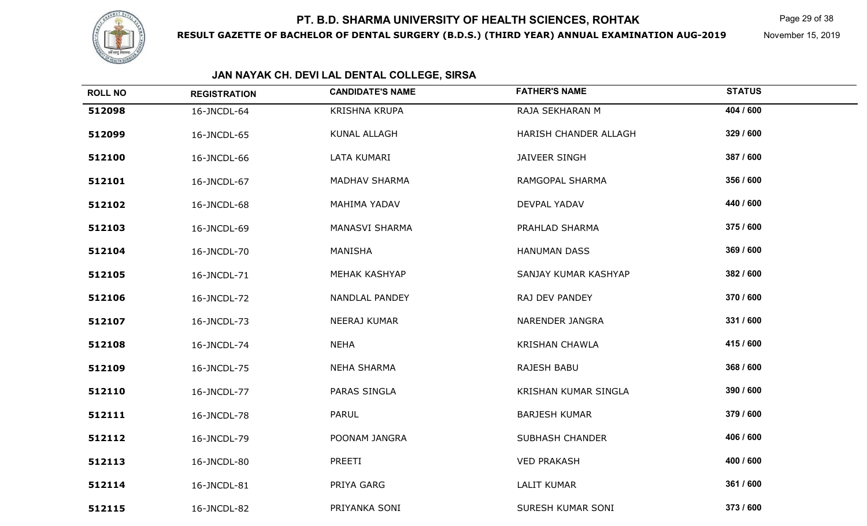

**RESULT GAZETTE OF BACHELOR OF DENTAL SURGERY (B.D.S.) (THIRD YEAR) ANNUAL EXAMINATION AUG-2019**

Page 29 of 38

November 15, 2019

| <b>ROLL NO</b> | <b>REGISTRATION</b> | <b>CANDIDATE'S NAME</b> | <b>FATHER'S NAME</b>   | <b>STATUS</b> |
|----------------|---------------------|-------------------------|------------------------|---------------|
| 512098         | 16-JNCDL-64         | KRISHNA KRUPA           | RAJA SEKHARAN M        | 404 / 600     |
| 512099         | 16-JNCDL-65         | KUNAL ALLAGH            | HARISH CHANDER ALLAGH  | 329 / 600     |
| 512100         | 16-JNCDL-66         | LATA KUMARI             | JAIVEER SINGH          | 387 / 600     |
| 512101         | 16-JNCDL-67         | <b>MADHAV SHARMA</b>    | RAMGOPAL SHARMA        | 356 / 600     |
| 512102         | 16-JNCDL-68         | MAHIMA YADAV            | DEVPAL YADAV           | 440 / 600     |
| 512103         | 16-JNCDL-69         | MANASVI SHARMA          | PRAHLAD SHARMA         | 375 / 600     |
| 512104         | 16-JNCDL-70         | MANISHA                 | <b>HANUMAN DASS</b>    | 369 / 600     |
| 512105         | 16-JNCDL-71         | MEHAK KASHYAP           | SANJAY KUMAR KASHYAP   | 382 / 600     |
| 512106         | 16-JNCDL-72         | NANDLAL PANDEY          | RAJ DEV PANDEY         | 370 / 600     |
| 512107         | 16-JNCDL-73         | NEERAJ KUMAR            | NARENDER JANGRA        | 331 / 600     |
| 512108         | 16-JNCDL-74         | <b>NEHA</b>             | <b>KRISHAN CHAWLA</b>  | 415 / 600     |
| 512109         | 16-JNCDL-75         | <b>NEHA SHARMA</b>      | RAJESH BABU            | 368 / 600     |
| 512110         | 16-JNCDL-77         | PARAS SINGLA            | KRISHAN KUMAR SINGLA   | 390 / 600     |
| 512111         | 16-JNCDL-78         | PARUL                   | <b>BARJESH KUMAR</b>   | 379 / 600     |
| 512112         | 16-JNCDL-79         | POONAM JANGRA           | <b>SUBHASH CHANDER</b> | 406 / 600     |
| 512113         | 16-JNCDL-80         | PREETI                  | <b>VED PRAKASH</b>     | 400 / 600     |
| 512114         | 16-JNCDL-81         | PRIYA GARG              | <b>LALIT KUMAR</b>     | 361 / 600     |
| 512115         | 16-JNCDL-82         | PRIYANKA SONI           | SURESH KUMAR SONI      | 373 / 600     |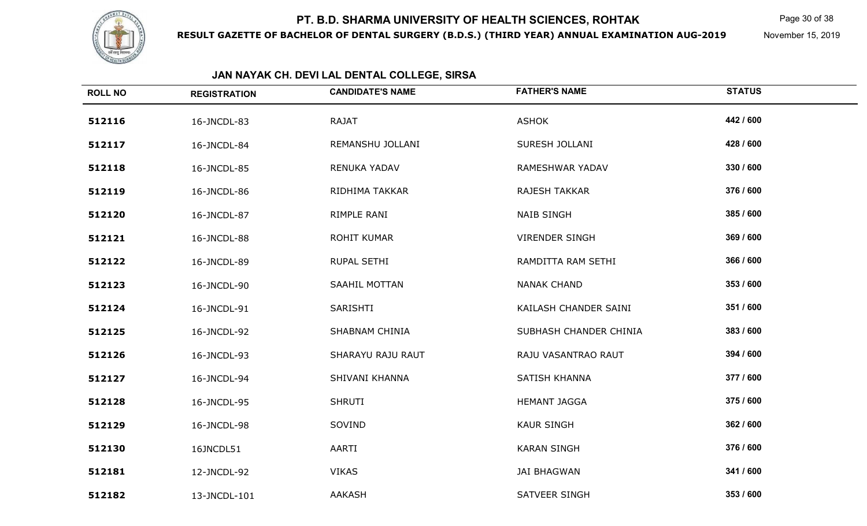

**RESULT GAZETTE OF BACHELOR OF DENTAL SURGERY (B.D.S.) (THIRD YEAR) ANNUAL EXAMINATION AUG-2019**

Page 30 of 38

November 15, 2019

| <b>ROLL NO</b> | <b>REGISTRATION</b> | <b>CANDIDATE'S NAME</b> | <b>FATHER'S NAME</b>   | <b>STATUS</b> |
|----------------|---------------------|-------------------------|------------------------|---------------|
| 512116         | 16-JNCDL-83         | <b>RAJAT</b>            | <b>ASHOK</b>           | 442 / 600     |
| 512117         | 16-JNCDL-84         | REMANSHU JOLLANI        | SURESH JOLLANI         | 428 / 600     |
| 512118         | 16-JNCDL-85         | RENUKA YADAV            | RAMESHWAR YADAV        | 330 / 600     |
| 512119         | 16-JNCDL-86         | RIDHIMA TAKKAR          | RAJESH TAKKAR          | 376 / 600     |
| 512120         | 16-JNCDL-87         | RIMPLE RANI             | <b>NAIB SINGH</b>      | 385 / 600     |
| 512121         | 16-JNCDL-88         | ROHIT KUMAR             | <b>VIRENDER SINGH</b>  | 369 / 600     |
| 512122         | 16-JNCDL-89         | RUPAL SETHI             | RAMDITTA RAM SETHI     | 366 / 600     |
| 512123         | 16-JNCDL-90         | SAAHIL MOTTAN           | <b>NANAK CHAND</b>     | 353 / 600     |
| 512124         | 16-JNCDL-91         | SARISHTI                | KAILASH CHANDER SAINI  | 351 / 600     |
| 512125         | 16-JNCDL-92         | SHABNAM CHINIA          | SUBHASH CHANDER CHINIA | 383 / 600     |
| 512126         | 16-JNCDL-93         | SHARAYU RAJU RAUT       | RAJU VASANTRAO RAUT    | 394 / 600     |
| 512127         | 16-JNCDL-94         | SHIVANI KHANNA          | SATISH KHANNA          | 377 / 600     |
| 512128         | 16-JNCDL-95         | <b>SHRUTI</b>           | <b>HEMANT JAGGA</b>    | 375 / 600     |
| 512129         | 16-JNCDL-98         | SOVIND                  | <b>KAUR SINGH</b>      | 362 / 600     |
| 512130         | 16JNCDL51           | AARTI                   | <b>KARAN SINGH</b>     | 376 / 600     |
| 512181         | 12-JNCDL-92         | <b>VIKAS</b>            | <b>JAI BHAGWAN</b>     | 341 / 600     |
| 512182         | 13-JNCDL-101        | AAKASH                  | SATVEER SINGH          | 353 / 600     |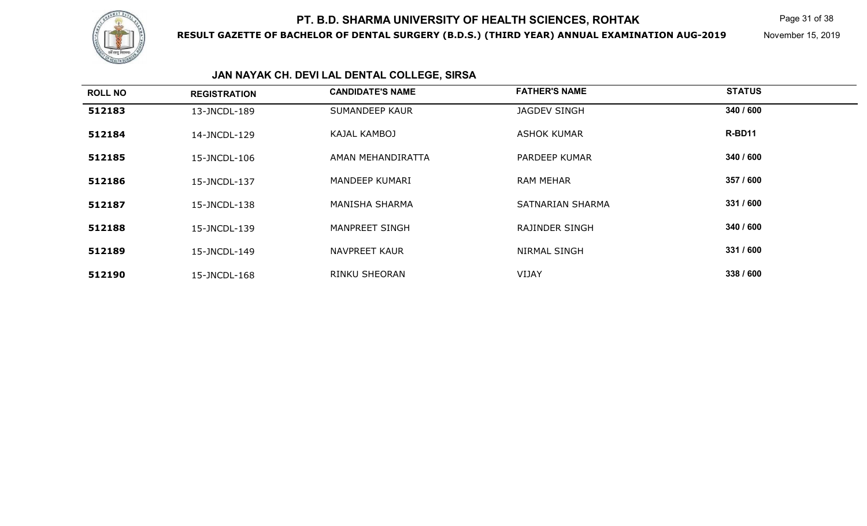

**RESULT GAZETTE OF BACHELOR OF DENTAL SURGERY (B.D.S.) (THIRD YEAR) ANNUAL EXAMINATION AUG-2019**

Page 31 of 38

November 15, 2019

| <b>ROLL NO</b> | <b>REGISTRATION</b> | <b>CANDIDATE'S NAME</b> | <b>FATHER'S NAME</b> | <b>STATUS</b> |  |
|----------------|---------------------|-------------------------|----------------------|---------------|--|
| 512183         | 13-JNCDL-189        | SUMANDEEP KAUR          | <b>JAGDEV SINGH</b>  | 340 / 600     |  |
| 512184         | 14-JNCDL-129        | KAJAL KAMBOJ            | <b>ASHOK KUMAR</b>   | R-BD11        |  |
| 512185         | 15-JNCDL-106        | AMAN MEHANDIRATTA       | PARDEEP KUMAR        | 340 / 600     |  |
| 512186         | 15-JNCDL-137        | MANDEEP KUMARI          | <b>RAM MEHAR</b>     | 357 / 600     |  |
| 512187         | 15-JNCDL-138        | <b>MANISHA SHARMA</b>   | SATNARIAN SHARMA     | 331 / 600     |  |
| 512188         | 15-JNCDL-139        | <b>MANPREET SINGH</b>   | RAJINDER SINGH       | 340 / 600     |  |
| 512189         | 15-JNCDL-149        | <b>NAVPREET KAUR</b>    | <b>NIRMAL SINGH</b>  | 331 / 600     |  |
| 512190         | 15-JNCDL-168        | <b>RINKU SHEORAN</b>    | VIJAY                | 338 / 600     |  |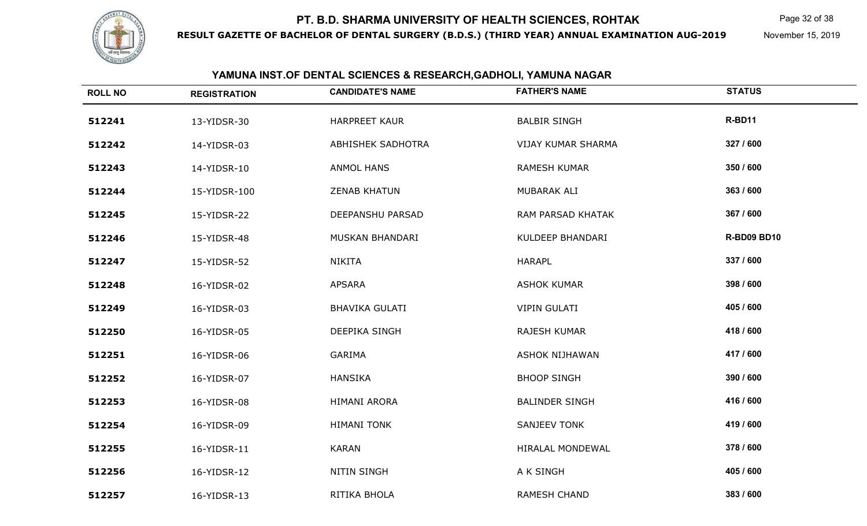

**RESULT GAZETTE OF BACHELOR OF DENTAL SURGERY (B.D.S.) (THIRD YEAR) ANNUAL EXAMINATION AUG-2019**

Page 32 of 38

November 15, 2019

| YAMUNA INST.OF DENTAL SCIENCES & RESEARCH, GADHOLI, YAMUNA NAGAR |                     |                         |                           |                    |
|------------------------------------------------------------------|---------------------|-------------------------|---------------------------|--------------------|
| <b>ROLL NO</b>                                                   | <b>REGISTRATION</b> | <b>CANDIDATE'S NAME</b> | <b>FATHER'S NAME</b>      | <b>STATUS</b>      |
| 512241                                                           | 13-YIDSR-30         | <b>HARPREET KAUR</b>    | <b>BALBIR SINGH</b>       | R-BD11             |
| 512242                                                           | 14-YIDSR-03         | ABHISHEK SADHOTRA       | <b>VIJAY KUMAR SHARMA</b> | 327 / 600          |
| 512243                                                           | 14-YIDSR-10         | ANMOL HANS              | <b>RAMESH KUMAR</b>       | 350 / 600          |
| 512244                                                           | 15-YIDSR-100        | <b>ZENAB KHATUN</b>     | MUBARAK ALI               | 363 / 600          |
| 512245                                                           | 15-YIDSR-22         | DEEPANSHU PARSAD        | RAM PARSAD KHATAK         | 367 / 600          |
| 512246                                                           | 15-YIDSR-48         | MUSKAN BHANDARI         | KULDEEP BHANDARI          | <b>R-BD09 BD10</b> |
| 512247                                                           | 15-YIDSR-52         | NIKITA                  | <b>HARAPL</b>             | 337 / 600          |
| 512248                                                           | 16-YIDSR-02         | <b>APSARA</b>           | <b>ASHOK KUMAR</b>        | 398 / 600          |
| 512249                                                           | 16-YIDSR-03         | <b>BHAVIKA GULATI</b>   | <b>VIPIN GULATI</b>       | 405 / 600          |
| 512250                                                           | 16-YIDSR-05         | DEEPIKA SINGH           | RAJESH KUMAR              | 418 / 600          |
| 512251                                                           | 16-YIDSR-06         | GARIMA                  | ASHOK NIJHAWAN            | 417 / 600          |
| 512252                                                           | 16-YIDSR-07         | <b>HANSIKA</b>          | <b>BHOOP SINGH</b>        | 390 / 600          |
| 512253                                                           | 16-YIDSR-08         | HIMANI ARORA            | <b>BALINDER SINGH</b>     | 416 / 600          |
| 512254                                                           | 16-YIDSR-09         | <b>HIMANI TONK</b>      | <b>SANJEEV TONK</b>       | 419 / 600          |
| 512255                                                           | 16-YIDSR-11         | <b>KARAN</b>            | HIRALAL MONDEWAL          | 378 / 600          |
| 512256                                                           | 16-YIDSR-12         | <b>NITIN SINGH</b>      | A K SINGH                 | 405 / 600          |
| 512257                                                           | 16-YIDSR-13         | RITIKA BHOLA            | RAMESH CHAND              | 383 / 600          |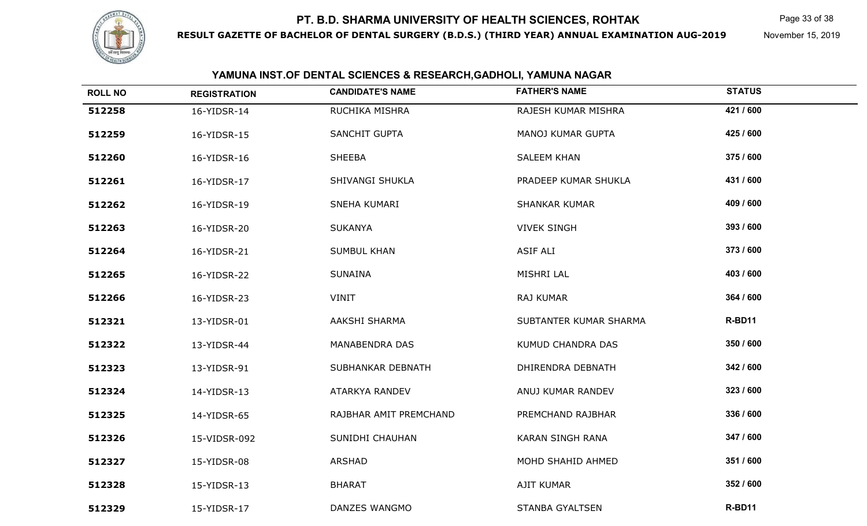

**RESULT GAZETTE OF BACHELOR OF DENTAL SURGERY (B.D.S.) (THIRD YEAR) ANNUAL EXAMINATION AUG-2019**

Page 33 of 38

November 15, 2019

#### **YAMUNA INST.OF DENTAL SCIENCES & RESEARCH,GADHOLI, YAMUNA NAGAR**

| <b>ROLL NO</b> | <b>REGISTRATION</b> | <b>CANDIDATE'S NAME</b> | <b>FATHER'S NAME</b>     | <b>STATUS</b> |
|----------------|---------------------|-------------------------|--------------------------|---------------|
| 512258         | 16-YIDSR-14         | RUCHIKA MISHRA          | RAJESH KUMAR MISHRA      | 421 / 600     |
| 512259         | 16-YIDSR-15         | SANCHIT GUPTA           | <b>MANOJ KUMAR GUPTA</b> | 425 / 600     |
| 512260         | 16-YIDSR-16         | <b>SHEEBA</b>           | <b>SALEEM KHAN</b>       | 375 / 600     |
| 512261         | 16-YIDSR-17         | SHIVANGI SHUKLA         | PRADEEP KUMAR SHUKLA     | 431 / 600     |
| 512262         | 16-YIDSR-19         | SNEHA KUMARI            | <b>SHANKAR KUMAR</b>     | 409 / 600     |
| 512263         | 16-YIDSR-20         | <b>SUKANYA</b>          | <b>VIVEK SINGH</b>       | 393 / 600     |
| 512264         | 16-YIDSR-21         | <b>SUMBUL KHAN</b>      | ASIF ALI                 | 373 / 600     |
| 512265         | 16-YIDSR-22         | <b>SUNAINA</b>          | MISHRI LAL               | 403 / 600     |
| 512266         | 16-YIDSR-23         | VINIT                   | RAJ KUMAR                | 364 / 600     |
| 512321         | 13-YIDSR-01         | AAKSHI SHARMA           | SUBTANTER KUMAR SHARMA   | R-BD11        |
| 512322         | 13-YIDSR-44         | <b>MANABENDRA DAS</b>   | KUMUD CHANDRA DAS        | 350 / 600     |
| 512323         | 13-YIDSR-91         | SUBHANKAR DEBNATH       | DHIRENDRA DEBNATH        | 342 / 600     |
| 512324         | 14-YIDSR-13         | ATARKYA RANDEV          | ANUJ KUMAR RANDEV        | 323 / 600     |
| 512325         | 14-YIDSR-65         | RAJBHAR AMIT PREMCHAND  | PREMCHAND RAJBHAR        | 336 / 600     |
| 512326         | 15-VIDSR-092        | SUNIDHI CHAUHAN         | KARAN SINGH RANA         | 347 / 600     |
| 512327         | 15-YIDSR-08         | <b>ARSHAD</b>           | MOHD SHAHID AHMED        | 351 / 600     |
| 512328         | 15-YIDSR-13         | <b>BHARAT</b>           | <b>AJIT KUMAR</b>        | 352 / 600     |
| 512329         | 15-YIDSR-17         | DANZES WANGMO           | <b>STANBA GYALTSEN</b>   | R-BD11        |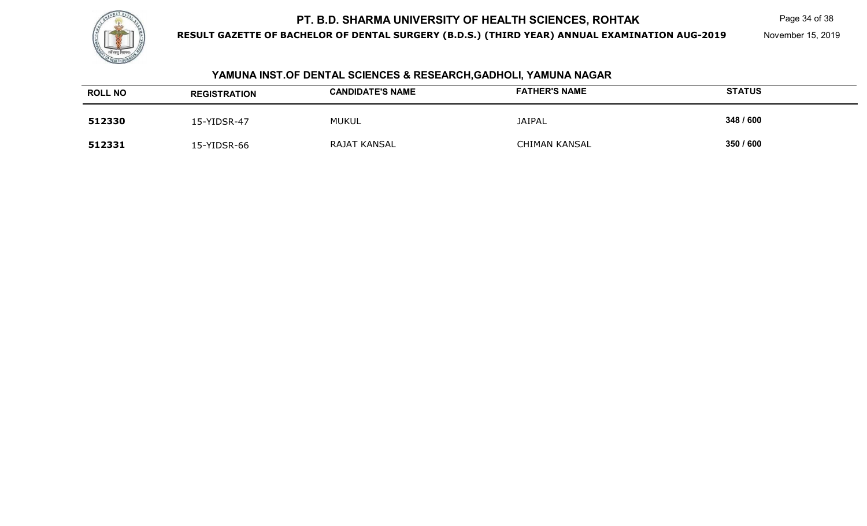

**RESULT GAZETTE OF BACHELOR OF DENTAL SURGERY (B.D.S.) (THIRD YEAR) ANNUAL EXAMINATION AUG-2019**

Page 34 of 38

November 15, 2019

#### **YAMUNA INST.OF DENTAL SCIENCES & RESEARCH,GADHOLI, YAMUNA NAGAR**

| <b>ROLL NO</b> | <b>REGISTRATION</b> | <b>CANDIDATE'S NAME</b> | <b>FATHER'S NAME</b> | <b>STATUS</b> |
|----------------|---------------------|-------------------------|----------------------|---------------|
| 512330         | L5-YIDSR-47         | <b>MUKUL</b>            | <b>JAIPAL</b>        | 348 / 600     |
| 512331         | L5-YIDSR-66         | RAJAT KANSAL            | CHIMAN KANSAL        | 350 / 600     |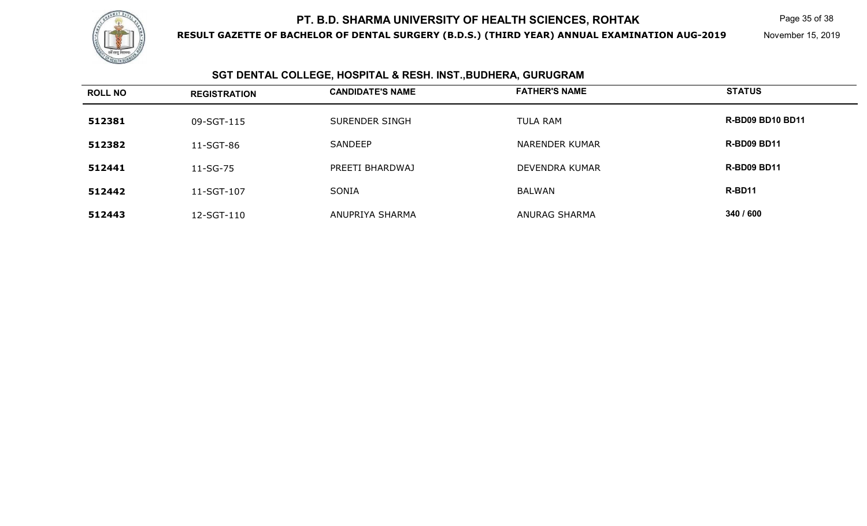

**RESULT GAZETTE OF BACHELOR OF DENTAL SURGERY (B.D.S.) (THIRD YEAR) ANNUAL EXAMINATION AUG-2019**

Page 35 of 38

November 15, 2019

## **SGT DENTAL COLLEGE, HOSPITAL & RESH. INST.,BUDHERA, GURUGRAM**

| <b>ROLL NO</b> | <b>REGISTRATION</b> | <b>CANDIDATE'S NAME</b> | <b>FATHER'S NAME</b>  | <b>STATUS</b>           |
|----------------|---------------------|-------------------------|-----------------------|-------------------------|
| 512381         | 09-SGT-115          | SURENDER SINGH          | <b>TULA RAM</b>       | <b>R-BD09 BD10 BD11</b> |
| 512382         | 11-SGT-86           | SANDEEP                 | NARENDER KUMAR        | <b>R-BD09 BD11</b>      |
| 512441         | 11-SG-75            | PREETI BHARDWAJ         | <b>DEVENDRA KUMAR</b> | <b>R-BD09 BD11</b>      |
| 512442         | 11-SGT-107          | SONIA                   | <b>BALWAN</b>         | R-BD11                  |
| 512443         | 12-SGT-110          | ANUPRIYA SHARMA         | <b>ANURAG SHARMA</b>  | 340 / 600               |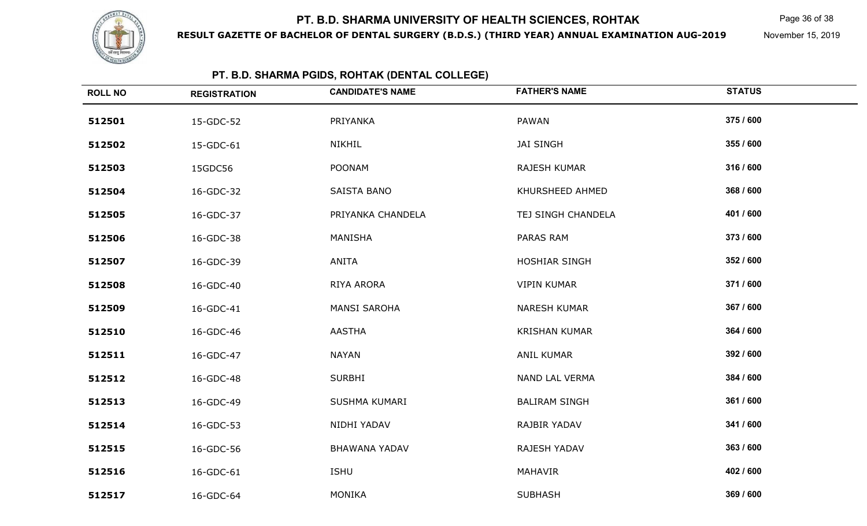

**RESULT GAZETTE OF BACHELOR OF DENTAL SURGERY (B.D.S.) (THIRD YEAR) ANNUAL EXAMINATION AUG-2019**

Page 36 of 38

November 15, 2019

## **PT. B.D. SHARMA PGIDS, ROHTAK (DENTAL COLLEGE)**

| <b>ROLL NO</b> | <b>REGISTRATION</b> | <b>CANDIDATE'S NAME</b> | <b>FATHER'S NAME</b> | <b>STATUS</b> |
|----------------|---------------------|-------------------------|----------------------|---------------|
| 512501         | 15-GDC-52           | PRIYANKA                | PAWAN                | 375 / 600     |
| 512502         | 15-GDC-61           | <b>NIKHIL</b>           | <b>JAI SINGH</b>     | 355 / 600     |
| 512503         | 15GDC56             | <b>POONAM</b>           | RAJESH KUMAR         | 316 / 600     |
| 512504         | 16-GDC-32           | SAISTA BANO             | KHURSHEED AHMED      | 368 / 600     |
| 512505         | 16-GDC-37           | PRIYANKA CHANDELA       | TEJ SINGH CHANDELA   | 401 / 600     |
| 512506         | 16-GDC-38           | MANISHA                 | PARAS RAM            | 373 / 600     |
| 512507         | 16-GDC-39           | ANITA                   | HOSHIAR SINGH        | 352 / 600     |
| 512508         | 16-GDC-40           | RIYA ARORA              | <b>VIPIN KUMAR</b>   | 371/600       |
| 512509         | 16-GDC-41           | <b>MANSI SAROHA</b>     | <b>NARESH KUMAR</b>  | 367 / 600     |
| 512510         | 16-GDC-46           | <b>AASTHA</b>           | <b>KRISHAN KUMAR</b> | 364 / 600     |
| 512511         | 16-GDC-47           | <b>NAYAN</b>            | ANIL KUMAR           | 392 / 600     |
| 512512         | 16-GDC-48           | <b>SURBHI</b>           | NAND LAL VERMA       | 384 / 600     |
| 512513         | 16-GDC-49           | SUSHMA KUMARI           | <b>BALIRAM SINGH</b> | 361 / 600     |
| 512514         | 16-GDC-53           | NIDHI YADAV             | RAJBIR YADAV         | 341 / 600     |
| 512515         | 16-GDC-56           | <b>BHAWANA YADAV</b>    | RAJESH YADAV         | 363 / 600     |
| 512516         | 16-GDC-61           | <b>ISHU</b>             | MAHAVIR              | 402 / 600     |
| 512517         | 16-GDC-64           | <b>MONIKA</b>           | <b>SUBHASH</b>       | 369 / 600     |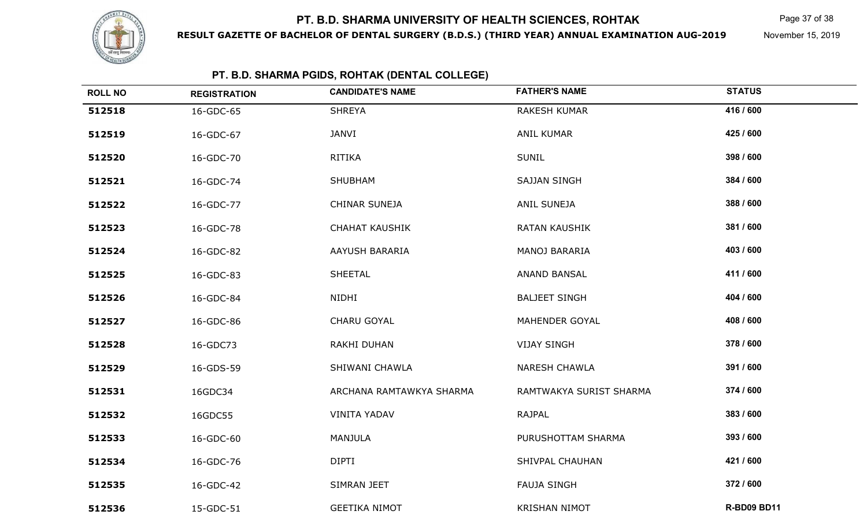

**RESULT GAZETTE OF BACHELOR OF DENTAL SURGERY (B.D.S.) (THIRD YEAR) ANNUAL EXAMINATION AUG-2019**

Page 37 of 38

November 15, 2019

## **PT. B.D. SHARMA PGIDS, ROHTAK (DENTAL COLLEGE)**

| <b>ROLL NO</b> | <b>REGISTRATION</b> | <b>CANDIDATE'S NAME</b>  | <b>FATHER'S NAME</b>    | <b>STATUS</b>      |
|----------------|---------------------|--------------------------|-------------------------|--------------------|
| 512518         | 16-GDC-65           | <b>SHREYA</b>            | <b>RAKESH KUMAR</b>     | 416 / 600          |
| 512519         | 16-GDC-67           | JANVI                    | <b>ANIL KUMAR</b>       | 425 / 600          |
| 512520         | 16-GDC-70           | <b>RITIKA</b>            | <b>SUNIL</b>            | 398 / 600          |
| 512521         | 16-GDC-74           | SHUBHAM                  | <b>SAJJAN SINGH</b>     | 384 / 600          |
| 512522         | 16-GDC-77           | CHINAR SUNEJA            | ANIL SUNEJA             | 388 / 600          |
| 512523         | 16-GDC-78           | <b>CHAHAT KAUSHIK</b>    | <b>RATAN KAUSHIK</b>    | 381 / 600          |
| 512524         | 16-GDC-82           | AAYUSH BARARIA           | MANOJ BARARIA           | 403 / 600          |
| 512525         | 16-GDC-83           | <b>SHEETAL</b>           | <b>ANAND BANSAL</b>     | 411 / 600          |
| 512526         | 16-GDC-84           | NIDHI                    | <b>BALJEET SINGH</b>    | 404 / 600          |
| 512527         | 16-GDC-86           | CHARU GOYAL              | MAHENDER GOYAL          | 408 / 600          |
| 512528         | 16-GDC73            | RAKHI DUHAN              | <b>VIJAY SINGH</b>      | 378 / 600          |
| 512529         | 16-GDS-59           | SHIWANI CHAWLA           | <b>NARESH CHAWLA</b>    | 391 / 600          |
| 512531         | 16GDC34             | ARCHANA RAMTAWKYA SHARMA | RAMTWAKYA SURIST SHARMA | 374 / 600          |
| 512532         | 16GDC55             | <b>VINITA YADAV</b>      | RAJPAL                  | 383 / 600          |
| 512533         | 16-GDC-60           | MANJULA                  | PURUSHOTTAM SHARMA      | 393 / 600          |
| 512534         | 16-GDC-76           | <b>DIPTI</b>             | SHIVPAL CHAUHAN         | 421 / 600          |
| 512535         | 16-GDC-42           | SIMRAN JEET              | <b>FAUJA SINGH</b>      | 372 / 600          |
| 512536         | 15-GDC-51           | <b>GEETIKA NIMOT</b>     | <b>KRISHAN NIMOT</b>    | <b>R-BD09 BD11</b> |